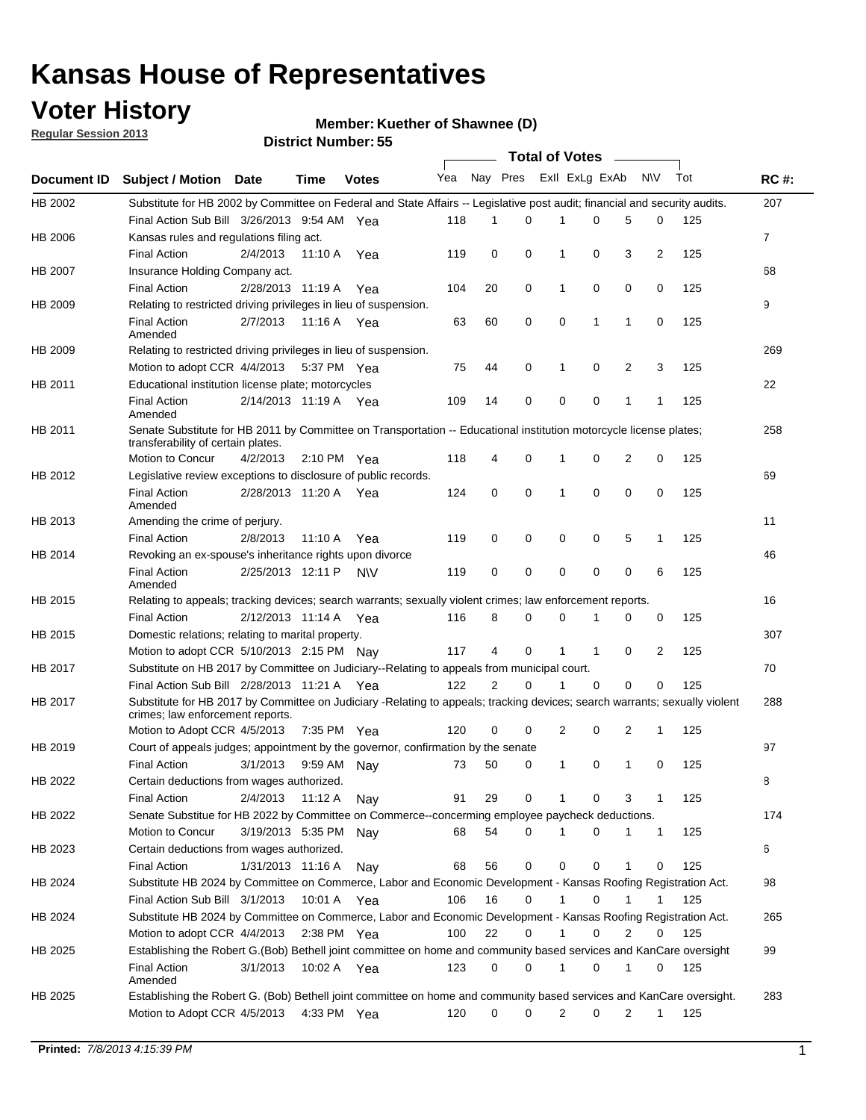## **Voter History**

**Member: Kuether of Shawnee (D)** 

**Regular Session 2013**

|                    |                                                                                                                                                                |                       | טט וסווווטנו ואווווטר |              |              |                | Total of Votes – |              |                |   |              |     |              |
|--------------------|----------------------------------------------------------------------------------------------------------------------------------------------------------------|-----------------------|-----------------------|--------------|--------------|----------------|------------------|--------------|----------------|---|--------------|-----|--------------|
| <b>Document ID</b> | <b>Subject / Motion Date</b>                                                                                                                                   |                       | <b>Time</b>           | <b>Votes</b> | Yea Nay Pres |                |                  |              | Exll ExLg ExAb |   | <b>NV</b>    | Tot | <b>RC#:</b>  |
| HB 2002            | Substitute for HB 2002 by Committee on Federal and State Affairs -- Legislative post audit; financial and security audits.                                     |                       |                       |              |              |                |                  |              |                |   |              |     | 207          |
|                    | Final Action Sub Bill 3/26/2013 9:54 AM Yea                                                                                                                    |                       |                       |              | 118          | 1              | $\Omega$         |              | 0              | 5 | 0            | 125 |              |
| HB 2006            | Kansas rules and regulations filing act.                                                                                                                       |                       |                       |              |              |                |                  |              |                |   |              |     | $\mathbf{7}$ |
|                    | <b>Final Action</b>                                                                                                                                            | 2/4/2013              | 11:10 A               | Yea          | 119          | 0              | 0                | 1            | 0              | 3 | 2            | 125 |              |
| HB 2007            | Insurance Holding Company act.                                                                                                                                 |                       |                       |              |              |                |                  |              |                |   |              |     | 68           |
|                    | <b>Final Action</b>                                                                                                                                            | 2/28/2013 11:19 A     |                       | Yea          | 104          | 20             | 0                | 1            | 0              | 0 | 0            | 125 |              |
| HB 2009            | Relating to restricted driving privileges in lieu of suspension.                                                                                               |                       |                       |              |              |                |                  |              |                |   |              |     | 9            |
|                    | <b>Final Action</b><br>Amended                                                                                                                                 | 2/7/2013              | 11:16 A Yea           |              | 63           | 60             | 0                | 0            | 1              | 1 | 0            | 125 |              |
| HB 2009            | Relating to restricted driving privileges in lieu of suspension.                                                                                               |                       |                       |              |              |                |                  |              |                |   |              |     | 269          |
|                    | Motion to adopt CCR 4/4/2013                                                                                                                                   |                       | 5:37 PM Yea           |              | 75           | 44             | 0                | 1            | 0              | 2 | 3            | 125 |              |
| HB 2011            | Educational institution license plate; motorcycles                                                                                                             |                       |                       |              |              |                |                  |              |                |   |              |     | 22           |
|                    | <b>Final Action</b><br>Amended                                                                                                                                 | 2/14/2013 11:19 A Yea |                       |              | 109          | 14             | 0                | 0            | 0              | 1 | 1            | 125 |              |
| HB 2011            | Senate Substitute for HB 2011 by Committee on Transportation -- Educational institution motorcycle license plates;                                             |                       |                       |              |              |                |                  |              |                |   |              |     | 258          |
|                    | transferability of certain plates.                                                                                                                             |                       |                       |              |              |                |                  |              |                |   |              |     |              |
|                    | Motion to Concur                                                                                                                                               | 4/2/2013              | 2:10 PM $Yea$         |              | 118          | 4              | 0                | 1            | 0              | 2 | 0            | 125 |              |
| HB 2012            | Legislative review exceptions to disclosure of public records.                                                                                                 |                       |                       |              |              |                |                  |              |                |   |              |     | 69           |
|                    | <b>Final Action</b><br>Amended                                                                                                                                 | 2/28/2013 11:20 A Yea |                       |              | 124          | 0              | 0                | 1            | 0              | 0 | 0            | 125 |              |
| HB 2013            | Amending the crime of perjury.                                                                                                                                 |                       |                       |              |              |                |                  |              |                |   |              |     | 11           |
|                    | <b>Final Action</b>                                                                                                                                            | 2/8/2013              | 11:10 A               | Yea          | 119          | 0              | 0                | 0            | 0              | 5 | 1            | 125 |              |
| HB 2014            | Revoking an ex-spouse's inheritance rights upon divorce                                                                                                        |                       |                       |              |              |                |                  |              |                |   |              |     | 46           |
|                    | <b>Final Action</b><br>Amended                                                                                                                                 | 2/25/2013 12:11 P     |                       | <b>NV</b>    | 119          | 0              | 0                | 0            | 0              | 0 | 6            | 125 |              |
| HB 2015            | Relating to appeals; tracking devices; search warrants; sexually violent crimes; law enforcement reports.                                                      |                       |                       |              |              |                |                  |              |                |   |              |     | 16           |
|                    | <b>Final Action</b>                                                                                                                                            | 2/12/2013 11:14 A     |                       | Yea          | 116          | 8              | 0                | 0            | 1              | 0 | 0            | 125 |              |
| HB 2015            | Domestic relations; relating to marital property.                                                                                                              |                       |                       |              |              |                |                  |              |                |   |              |     | 307          |
|                    | Motion to adopt CCR 5/10/2013 2:15 PM Nav                                                                                                                      |                       |                       |              | 117          | 4              | 0                | $\mathbf{1}$ | $\mathbf{1}$   | 0 | 2            | 125 |              |
| HB 2017            | Substitute on HB 2017 by Committee on Judiciary--Relating to appeals from municipal court.                                                                     |                       |                       |              |              |                |                  |              |                |   |              |     | 70           |
|                    | Final Action Sub Bill 2/28/2013 11:21 A Yea                                                                                                                    |                       |                       |              | 122          | $\overline{2}$ | 0                | 1            | 0              | 0 | 0            | 125 |              |
| HB 2017            | Substitute for HB 2017 by Committee on Judiciary -Relating to appeals; tracking devices; search warrants; sexually violent<br>crimes; law enforcement reports. |                       |                       |              |              |                |                  |              |                |   |              |     | 288          |
|                    | Motion to Adopt CCR 4/5/2013                                                                                                                                   |                       | 7:35 PM Yea           |              | 120          | 0              | 0                | 2            | 0              | 2 | 1            | 125 |              |
| HB 2019            | Court of appeals judges; appointment by the governor, confirmation by the senate                                                                               |                       |                       |              |              |                |                  |              |                |   |              |     | 97           |
|                    | <b>Final Action</b>                                                                                                                                            | 3/1/2013              | 9:59 AM Nay           |              | 73           | 50             | 0                | 1            | 0              | 1 | 0            | 125 |              |
| HB 2022            | Certain deductions from wages authorized.                                                                                                                      |                       |                       |              |              |                |                  |              |                |   |              |     | 8            |
|                    | <b>Final Action</b>                                                                                                                                            | 2/4/2013              | 11:12 A               | Nay          | 91           | 29             | 0                |              | 0              | 3 | 1            | 125 |              |
| HB 2022            | Senate Substitue for HB 2022 by Committee on Commerce--concerming employee paycheck deductions.                                                                |                       |                       |              |              |                |                  |              |                |   |              |     | 174          |
|                    | Motion to Concur                                                                                                                                               | 3/19/2013 5:35 PM Nav |                       |              | 68           | 54             | 0                | 1            | 0              | 1 | $\mathbf{1}$ | 125 |              |
| HB 2023            | Certain deductions from wages authorized.                                                                                                                      |                       |                       |              |              |                |                  |              |                |   |              |     | 6            |
|                    | <b>Final Action</b>                                                                                                                                            | 1/31/2013 11:16 A     |                       | Nav          | 68           | 56             | 0                | 0            | 0              | 1 | 0            | 125 |              |
| HB 2024            | Substitute HB 2024 by Committee on Commerce, Labor and Economic Development - Kansas Roofing Registration Act.                                                 |                       |                       |              |              |                |                  |              |                |   |              |     | 98           |
|                    | Final Action Sub Bill 3/1/2013                                                                                                                                 |                       | 10:01 A               | Yea          | 106          | 16             | 0                | $\mathbf{1}$ | 0              | 1 | 1            | 125 |              |
| HB 2024            | Substitute HB 2024 by Committee on Commerce, Labor and Economic Development - Kansas Roofing Registration Act.                                                 |                       |                       |              |              |                |                  |              |                |   |              |     | 265          |
|                    | Motion to adopt CCR 4/4/2013                                                                                                                                   |                       | 2:38 PM $Yea$         |              | 100          | 22             | 0                | $\mathbf{1}$ | 0              | 2 | 0            | 125 |              |
| HB 2025            | Establishing the Robert G.(Bob) Bethell joint committee on home and community based services and KanCare oversight                                             |                       |                       |              |              |                |                  |              |                |   |              |     | 99           |
|                    | <b>Final Action</b><br>Amended                                                                                                                                 | 3/1/2013              | 10:02 A Yea           |              | 123          | 0              | 0                | 1            | 0              | 1 | 0            | 125 |              |
| HB 2025            | Establishing the Robert G. (Bob) Bethell joint committee on home and community based services and KanCare oversight.                                           |                       |                       |              |              |                |                  |              |                |   |              |     | 283          |
|                    | Motion to Adopt CCR 4/5/2013                                                                                                                                   |                       | 4:33 PM Yea           |              | 120          | 0              | 0                | 2            | 0              | 2 | $\mathbf{1}$ | 125 |              |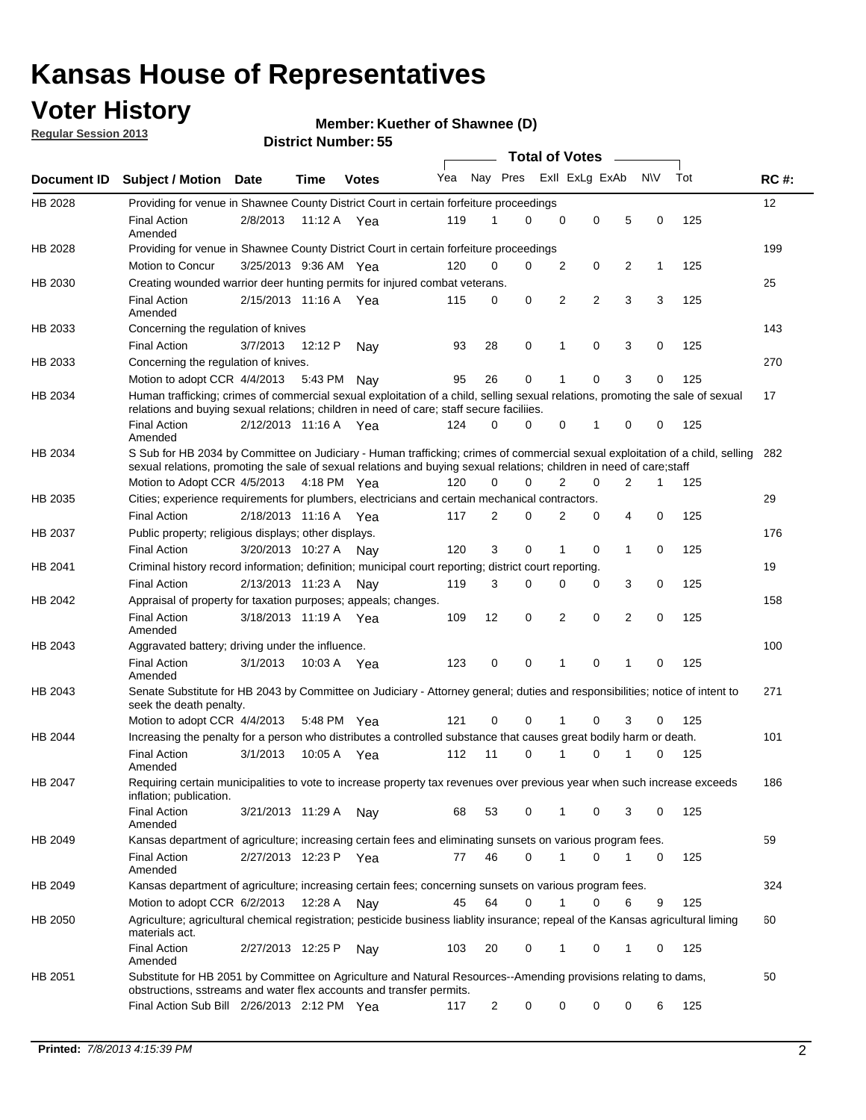## **Voter History**

**Member: Kuether of Shawnee (D)** 

**Regular Session 2013**

|             |                                                                                                                                                                                                                                                       |                       |         |              |     |                | <b>Total of Votes</b> |   |                |                |           |     |             |
|-------------|-------------------------------------------------------------------------------------------------------------------------------------------------------------------------------------------------------------------------------------------------------|-----------------------|---------|--------------|-----|----------------|-----------------------|---|----------------|----------------|-----------|-----|-------------|
| Document ID | <b>Subject / Motion Date</b>                                                                                                                                                                                                                          |                       | Time    | <b>Votes</b> | Yea | Nay Pres       |                       |   | Exll ExLg ExAb |                | <b>NV</b> | Tot | <b>RC#:</b> |
| HB 2028     | Providing for venue in Shawnee County District Court in certain forfeiture proceedings                                                                                                                                                                |                       |         |              |     |                |                       |   |                |                |           |     | 12          |
|             | <b>Final Action</b><br>Amended                                                                                                                                                                                                                        | 2/8/2013              |         | 11:12 A Yea  | 119 | 1              | $\Omega$              | 0 | 0              | 5              | 0         | 125 |             |
| HB 2028     | Providing for venue in Shawnee County District Court in certain forfeiture proceedings<br>Motion to Concur                                                                                                                                            | 3/25/2013 9:36 AM Yea |         |              | 120 | 0              | 0                     | 2 | 0              | 2              | 1         | 125 | 199         |
| HB 2030     | Creating wounded warrior deer hunting permits for injured combat veterans.                                                                                                                                                                            |                       |         |              |     |                |                       |   |                |                |           |     | 25          |
|             | <b>Final Action</b><br>Amended                                                                                                                                                                                                                        | 2/15/2013 11:16 A     |         | Yea          | 115 | 0              | 0                     | 2 | $\overline{2}$ | 3              | 3         | 125 |             |
| HB 2033     | Concerning the regulation of knives                                                                                                                                                                                                                   |                       |         |              |     |                |                       |   |                |                |           |     | 143         |
|             | <b>Final Action</b>                                                                                                                                                                                                                                   | 3/7/2013              | 12:12 P | Nav          | 93  | 28             | 0                     | 1 | 0              | 3              | 0         | 125 |             |
| HB 2033     | Concerning the regulation of knives.                                                                                                                                                                                                                  |                       |         |              |     |                |                       |   |                |                |           |     | 270         |
|             | Motion to adopt CCR 4/4/2013                                                                                                                                                                                                                          |                       | 5:43 PM | Nav          | 95  | 26             | 0                     |   | 0              | 3              | 0         | 125 |             |
| HB 2034     | Human trafficking; crimes of commercial sexual exploitation of a child, selling sexual relations, promoting the sale of sexual<br>relations and buying sexual relations; children in need of care; staff secure faciliies.                            |                       |         |              |     |                |                       |   |                |                |           |     | 17          |
|             | <b>Final Action</b><br>Amended                                                                                                                                                                                                                        | 2/12/2013 11:16 A Yea |         |              | 124 | $\Omega$       | 0                     | 0 | 1              | 0              | 0         | 125 |             |
| HB 2034     | S Sub for HB 2034 by Committee on Judiciary - Human trafficking; crimes of commercial sexual exploitation of a child, selling<br>sexual relations, promoting the sale of sexual relations and buying sexual relations; children in need of care;staff |                       |         |              |     |                |                       |   |                |                |           |     | 282         |
|             | Motion to Adopt CCR 4/5/2013 4:18 PM Yea                                                                                                                                                                                                              |                       |         |              | 120 | 0              | 0                     | 2 | 0              | $\overline{2}$ | 1         | 125 |             |
| HB 2035     | Cities; experience requirements for plumbers, electricians and certain mechanical contractors.                                                                                                                                                        |                       |         |              |     |                |                       |   |                |                |           |     | 29          |
|             | <b>Final Action</b>                                                                                                                                                                                                                                   | 2/18/2013 11:16 A     |         | Yea          | 117 | 2              | 0                     | 2 | 0              | 4              | 0         | 125 |             |
| HB 2037     | Public property; religious displays; other displays.                                                                                                                                                                                                  |                       |         |              |     |                |                       |   |                |                |           |     | 176         |
|             | <b>Final Action</b>                                                                                                                                                                                                                                   | 3/20/2013 10:27 A     |         | Nav          | 120 | 3              | 0                     | 1 | 0              | 1              | 0         | 125 |             |
| HB 2041     | Criminal history record information; definition; municipal court reporting; district court reporting.                                                                                                                                                 |                       |         |              |     |                |                       |   |                |                |           |     | 19          |
|             | <b>Final Action</b>                                                                                                                                                                                                                                   | 2/13/2013 11:23 A     |         | Nav          | 119 | 3              | 0                     | 0 | 0              | 3              | 0         | 125 |             |
| HB 2042     | Appraisal of property for taxation purposes; appeals; changes.                                                                                                                                                                                        |                       |         |              |     |                |                       |   |                |                |           |     | 158         |
|             | <b>Final Action</b><br>Amended                                                                                                                                                                                                                        | 3/18/2013 11:19 A     |         | Yea          | 109 | 12             | 0                     | 2 | 0              | $\overline{2}$ | 0         | 125 |             |
| HB 2043     | Aggravated battery; driving under the influence.                                                                                                                                                                                                      |                       |         |              |     |                |                       |   |                |                |           |     | 100         |
|             | <b>Final Action</b><br>Amended                                                                                                                                                                                                                        | 3/1/2013              |         | 10:03 A Yea  | 123 | 0              | 0                     |   | 0              | 1              | 0         | 125 |             |
| HB 2043     | Senate Substitute for HB 2043 by Committee on Judiciary - Attorney general; duties and responsibilities; notice of intent to<br>seek the death penalty.                                                                                               |                       |         |              |     |                |                       |   |                |                |           |     | 271         |
|             | Motion to adopt CCR 4/4/2013                                                                                                                                                                                                                          |                       |         | 5:48 PM Yea  | 121 | 0              | 0                     |   | 0              | 3              | 0         | 125 |             |
| HB 2044     | Increasing the penalty for a person who distributes a controlled substance that causes great bodily harm or death.                                                                                                                                    |                       |         |              |     |                |                       |   |                |                |           |     | 101         |
|             | <b>Final Action</b><br>Amended                                                                                                                                                                                                                        | 3/1/2013              | 10:05 A | Yea          | 112 | 11             | 0                     |   | 0              |                | 0         | 125 |             |
| HB 2047     | Requiring certain municipalities to vote to increase property tax revenues over previous year when such increase exceeds<br>inflation; publication.                                                                                                   |                       |         |              |     |                |                       |   |                |                |           |     | 186         |
|             | <b>Final Action</b><br>Amended                                                                                                                                                                                                                        | 3/21/2013 11:29 A     |         | Nay          | 68  | 53             | 0                     |   | 0              | 3              | 0         | 125 |             |
| HB 2049     | Kansas department of agriculture; increasing certain fees and eliminating sunsets on various program fees.                                                                                                                                            |                       |         |              |     |                |                       |   |                |                |           |     | 59          |
|             | <b>Final Action</b><br>Amended                                                                                                                                                                                                                        | 2/27/2013 12:23 P     |         | Yea          | 77  | 46             | 0                     | 1 | 0              | 1              | 0         | 125 |             |
| HB 2049     | Kansas department of agriculture; increasing certain fees; concerning sunsets on various program fees.                                                                                                                                                |                       |         |              |     |                |                       |   |                |                |           |     | 324         |
|             | Motion to adopt CCR 6/2/2013                                                                                                                                                                                                                          |                       | 12:28 A | Nay          | 45  | 64             | 0                     |   | 0              | 6              | 9         | 125 |             |
| HB 2050     | Agriculture; agricultural chemical registration; pesticide business liablity insurance; repeal of the Kansas agricultural liming<br>materials act.                                                                                                    |                       |         |              |     |                |                       |   |                |                |           |     | 60          |
|             | <b>Final Action</b><br>Amended                                                                                                                                                                                                                        | 2/27/2013 12:25 P     |         | Nay          | 103 | 20             | 0                     | 1 | 0              | 1              | 0         | 125 |             |
| HB 2051     | Substitute for HB 2051 by Committee on Agriculture and Natural Resources--Amending provisions relating to dams,<br>obstructions, sstreams and water flex accounts and transfer permits.                                                               |                       |         |              |     |                |                       |   |                |                |           |     | 50          |
|             | Final Action Sub Bill 2/26/2013 2:12 PM Yea                                                                                                                                                                                                           |                       |         |              | 117 | $\overline{c}$ | 0                     | 0 | 0              | 0              | 6         | 125 |             |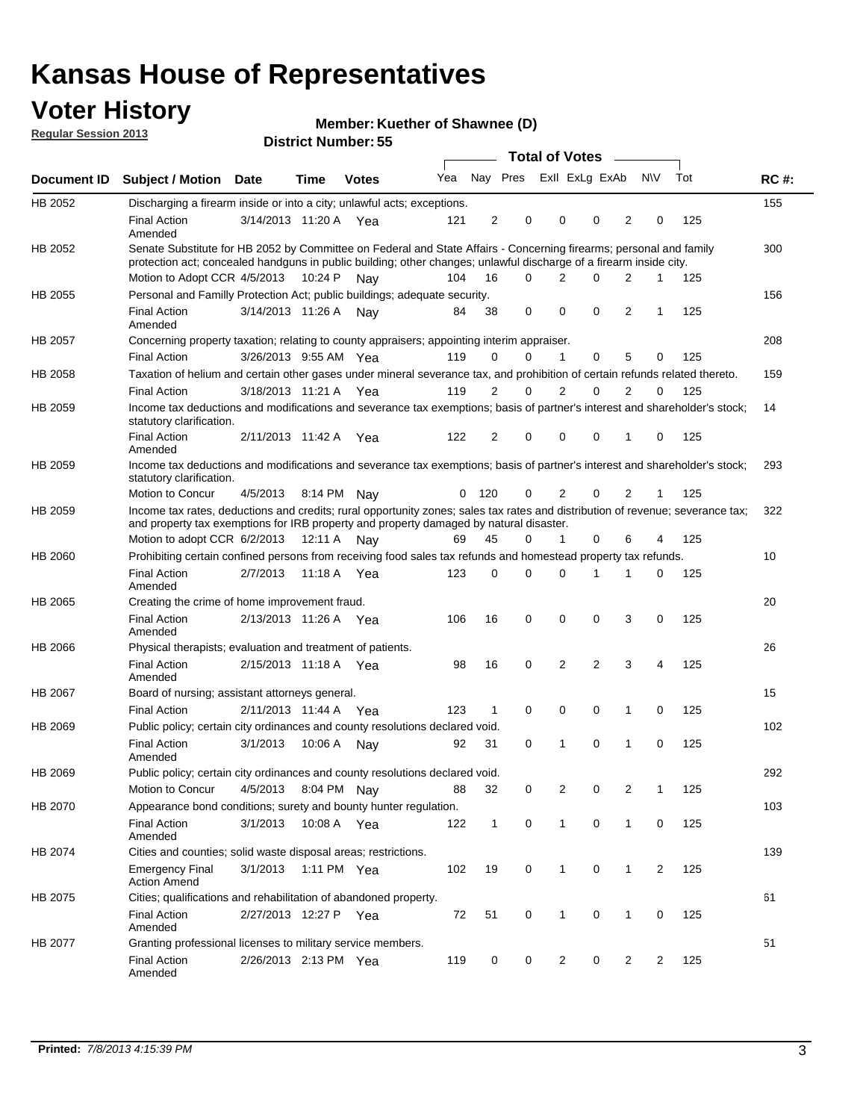## **Voter History**

**Member: Kuether of Shawnee (D)** 

**Regular Session 2013**

|                |                                                                                                                                                                                                                                          |                       |             |              |     |                |                         | <b>Total of Votes</b> | $\sim$      |                |     |     |             |
|----------------|------------------------------------------------------------------------------------------------------------------------------------------------------------------------------------------------------------------------------------------|-----------------------|-------------|--------------|-----|----------------|-------------------------|-----------------------|-------------|----------------|-----|-----|-------------|
| Document ID    | <b>Subject / Motion</b>                                                                                                                                                                                                                  | Date                  | <b>Time</b> | <b>Votes</b> | Yea |                | Nay Pres Exll ExLg ExAb |                       |             |                | N\V | Tot | <b>RC#:</b> |
| HB 2052        | Discharging a firearm inside or into a city; unlawful acts; exceptions.                                                                                                                                                                  |                       |             |              |     |                |                         |                       |             |                |     |     | 155         |
|                | <b>Final Action</b><br>Amended                                                                                                                                                                                                           | 3/14/2013 11:20 A Yea |             |              | 121 | 2              | 0                       | 0                     | $\Omega$    | $\overline{2}$ | 0   | 125 |             |
| HB 2052        | Senate Substitute for HB 2052 by Committee on Federal and State Affairs - Concerning firearms; personal and family<br>protection act; concealed handguns in public building; other changes; unlawful discharge of a firearm inside city. |                       |             |              |     |                |                         |                       |             |                |     |     | 300         |
|                | Motion to Adopt CCR 4/5/2013                                                                                                                                                                                                             |                       | 10:24 P     | Nav          | 104 | 16             | 0                       | 2                     | $\Omega$    | 2              | 1   | 125 |             |
| HB 2055        | Personal and Familly Protection Act; public buildings; adequate security.                                                                                                                                                                |                       |             |              |     |                |                         |                       |             |                |     |     | 156         |
|                | <b>Final Action</b><br>Amended                                                                                                                                                                                                           | 3/14/2013 11:26 A     |             | Nav          | 84  | 38             | 0                       | 0                     | $\mathbf 0$ | 2              | 1   | 125 |             |
| HB 2057        | Concerning property taxation; relating to county appraisers; appointing interim appraiser.                                                                                                                                               |                       |             |              |     |                |                         |                       |             |                |     |     | 208         |
|                | <b>Final Action</b>                                                                                                                                                                                                                      | 3/26/2013 9:55 AM Yea |             |              | 119 | 0              | 0                       | 1                     | 0           | 5              | 0   | 125 |             |
| HB 2058        | Taxation of helium and certain other gases under mineral severance tax, and prohibition of certain refunds related thereto.                                                                                                              |                       |             |              |     |                |                         |                       |             |                |     |     | 159         |
|                | <b>Final Action</b>                                                                                                                                                                                                                      | 3/18/2013 11:21 A Yea |             |              | 119 | 2              | 0                       | $\overline{2}$        | $\Omega$    | $\overline{2}$ | 0   | 125 |             |
| HB 2059        | Income tax deductions and modifications and severance tax exemptions; basis of partner's interest and shareholder's stock;<br>statutory clarification.                                                                                   |                       |             |              |     |                |                         |                       |             |                |     |     | 14          |
|                | <b>Final Action</b><br>Amended                                                                                                                                                                                                           | 2/11/2013 11:42 A     |             | Yea          | 122 | $\overline{2}$ | 0                       | 0                     | 0           | $\mathbf{1}$   | 0   | 125 |             |
| HB 2059        | Income tax deductions and modifications and severance tax exemptions; basis of partner's interest and shareholder's stock;<br>statutory clarification.                                                                                   |                       |             |              |     |                |                         |                       |             |                |     |     | 293         |
|                | Motion to Concur                                                                                                                                                                                                                         | 4/5/2013              |             | 8:14 PM Nav  | 0   | 120            | 0                       | 2                     | 0           | $\overline{2}$ | 1   | 125 |             |
| HB 2059        | Income tax rates, deductions and credits; rural opportunity zones; sales tax rates and distribution of revenue; severance tax;<br>and property tax exemptions for IRB property and property damaged by natural disaster.                 |                       |             |              |     |                |                         |                       |             |                |     |     | 322         |
|                | Motion to adopt CCR 6/2/2013                                                                                                                                                                                                             |                       | 12:11 A     | Nav          | 69  | 45             | 0                       | 1                     | 0           | 6              | 4   | 125 |             |
| <b>HB 2060</b> | Prohibiting certain confined persons from receiving food sales tax refunds and homestead property tax refunds.                                                                                                                           |                       |             |              |     |                |                         |                       |             |                |     |     | 10          |
|                | <b>Final Action</b><br>Amended                                                                                                                                                                                                           | 2/7/2013              | 11:18 A     | Yea          | 123 | 0              | 0                       | $\Omega$              | 1           | 1              | 0   | 125 |             |
| HB 2065        | Creating the crime of home improvement fraud.                                                                                                                                                                                            |                       |             |              |     |                |                         |                       |             |                |     |     | 20          |
|                | <b>Final Action</b><br>Amended                                                                                                                                                                                                           | 2/13/2013 11:26 A Yea |             |              | 106 | 16             | 0                       | 0                     | 0           | 3              | 0   | 125 |             |
| HB 2066        | Physical therapists; evaluation and treatment of patients.                                                                                                                                                                               |                       |             |              |     |                |                         |                       |             |                |     |     | 26          |
|                | <b>Final Action</b><br>Amended                                                                                                                                                                                                           | 2/15/2013 11:18 A Yea |             |              | 98  | 16             | 0                       | $\overline{2}$        | 2           | 3              | 4   | 125 |             |
| <b>HB 2067</b> | Board of nursing; assistant attorneys general.                                                                                                                                                                                           |                       |             |              |     |                |                         |                       |             |                |     |     | 15          |
|                | <b>Final Action</b>                                                                                                                                                                                                                      | 2/11/2013 11:44 A     |             | Yea          | 123 | $\mathbf{1}$   | 0                       | 0                     | 0           | $\mathbf{1}$   | 0   | 125 |             |
| HB 2069        | Public policy; certain city ordinances and county resolutions declared void.                                                                                                                                                             |                       |             |              |     |                |                         |                       |             |                |     |     | 102         |
|                | <b>Final Action</b><br>Amended                                                                                                                                                                                                           | 3/1/2013              | 10:06 A     | Nav          | 92  | 31             | 0                       | 1                     | 0           | $\mathbf{1}$   | 0   | 125 |             |
| HB 2069        | Public policy; certain city ordinances and county resolutions declared void.                                                                                                                                                             |                       |             |              |     |                |                         |                       |             |                |     |     | 292         |
|                | Motion to Concur                                                                                                                                                                                                                         | 4/5/2013              |             | 8:04 PM Nay  | 88  | 32             | 0                       | 2                     | 0           | 2              | 1   | 125 |             |
| HB 2070        | Appearance bond conditions; surety and bounty hunter regulation.                                                                                                                                                                         |                       |             |              |     |                |                         |                       |             |                |     |     | 103         |
|                | <b>Final Action</b><br>Amended                                                                                                                                                                                                           | 3/1/2013              | 10:08 A Yea |              | 122 | $\mathbf{1}$   | 0                       | $\mathbf{1}$          | $\mathbf 0$ | $\mathbf{1}$   | 0   | 125 |             |
| HB 2074        | Cities and counties; solid waste disposal areas; restrictions.                                                                                                                                                                           |                       |             |              |     |                |                         |                       |             |                |     |     | 139         |
|                | <b>Emergency Final</b><br><b>Action Amend</b>                                                                                                                                                                                            | 3/1/2013              |             | 1:11 PM Yea  | 102 | 19             | 0                       | 1                     | 0           | $\mathbf{1}$   | 2   | 125 |             |
| HB 2075        | Cities; qualifications and rehabilitation of abandoned property.                                                                                                                                                                         |                       |             |              |     |                |                         |                       |             |                |     |     | 61          |
|                | <b>Final Action</b><br>Amended                                                                                                                                                                                                           | 2/27/2013 12:27 P Yea |             |              | 72  | 51             | 0                       | 1                     | 0           | 1              | 0   | 125 |             |
| HB 2077        | Granting professional licenses to military service members.                                                                                                                                                                              |                       |             |              |     |                |                         |                       |             |                |     |     | 51          |
|                | <b>Final Action</b><br>Amended                                                                                                                                                                                                           | 2/26/2013 2:13 PM Yea |             |              | 119 | 0              | 0                       | 2                     | 0           | 2              | 2   | 125 |             |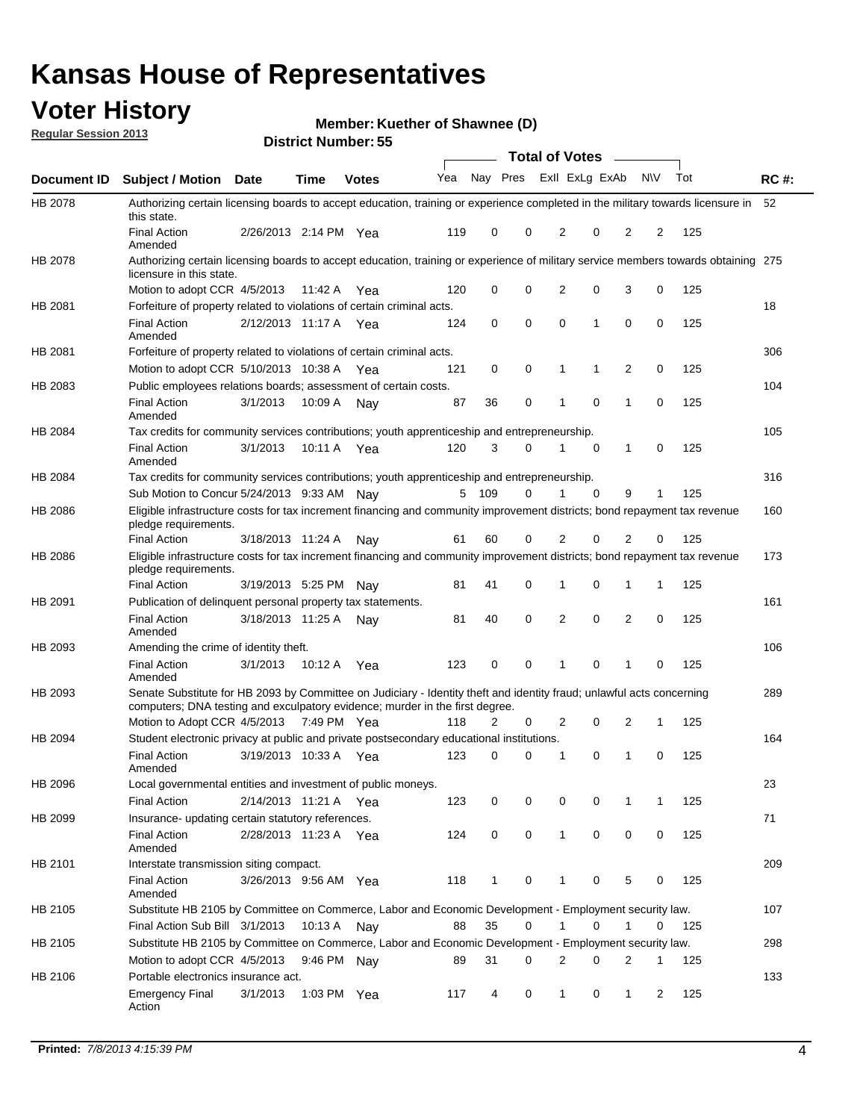## **Voter History**

**Member: Kuether of Shawnee (D)** 

**Regular Session 2013**

|                    |                                                                                                                                                                                                       |                       |               | טט וסווווטקו, טש |              |                |   | <b>Total of Votes</b> |             | $\overline{\phantom{0}}$ |             |     |             |
|--------------------|-------------------------------------------------------------------------------------------------------------------------------------------------------------------------------------------------------|-----------------------|---------------|------------------|--------------|----------------|---|-----------------------|-------------|--------------------------|-------------|-----|-------------|
| <b>Document ID</b> | <b>Subject / Motion Date</b>                                                                                                                                                                          |                       | <b>Time</b>   | <b>Votes</b>     | Yea Nay Pres |                |   | Exll ExLg ExAb        |             |                          | <b>NV</b>   | Tot | <b>RC#:</b> |
| HB 2078            | Authorizing certain licensing boards to accept education, training or experience completed in the military towards licensure in<br>this state.                                                        |                       |               |                  |              |                |   |                       |             |                          |             |     | 52          |
|                    | <b>Final Action</b><br>Amended                                                                                                                                                                        | 2/26/2013 2:14 PM Yea |               |                  | 119          | 0              | 0 | 2                     | 0           | 2                        | 2           | 125 |             |
| HB 2078            | Authorizing certain licensing boards to accept education, training or experience of military service members towards obtaining 275<br>licensure in this state.                                        |                       |               |                  |              |                |   |                       |             |                          |             |     |             |
|                    | Motion to adopt CCR 4/5/2013                                                                                                                                                                          |                       | 11:42 A       | Yea              | 120          | 0              | 0 | $\overline{2}$        | 0           | 3                        | 0           | 125 |             |
| HB 2081            | Forfeiture of property related to violations of certain criminal acts.                                                                                                                                |                       |               |                  |              |                |   |                       |             |                          |             |     | 18          |
|                    | <b>Final Action</b><br>Amended                                                                                                                                                                        | 2/12/2013 11:17 A Yea |               |                  | 124          | 0              | 0 | $\Omega$              | 1           | 0                        | 0           | 125 |             |
| HB 2081            | Forfeiture of property related to violations of certain criminal acts.                                                                                                                                |                       |               |                  |              |                |   |                       |             |                          |             |     | 306         |
|                    | Motion to adopt CCR 5/10/2013 10:38 A                                                                                                                                                                 |                       |               | Yea              | 121          | 0              | 0 | 1                     | 1           | 2                        | 0           | 125 |             |
| HB 2083            | Public employees relations boards; assessment of certain costs.                                                                                                                                       |                       |               |                  |              |                |   |                       |             |                          |             |     | 104         |
|                    | <b>Final Action</b><br>Amended                                                                                                                                                                        | 3/1/2013              | 10:09 A       | Nay              | 87           | 36             | 0 | 1                     | $\mathbf 0$ | 1                        | $\mathbf 0$ | 125 |             |
| HB 2084            | Tax credits for community services contributions; youth apprenticeship and entrepreneurship.                                                                                                          |                       |               |                  |              |                |   |                       |             |                          |             |     | 105         |
|                    | <b>Final Action</b><br>Amended                                                                                                                                                                        | 3/1/2013              | 10:11 A       | Yea              | 120          | 3              | 0 | 1                     | $\mathbf 0$ | 1                        | 0           | 125 |             |
| HB 2084            | Tax credits for community services contributions; youth apprenticeship and entrepreneurship.                                                                                                          |                       |               |                  |              |                |   |                       |             |                          |             |     | 316         |
|                    | Sub Motion to Concur 5/24/2013 9:33 AM Nav                                                                                                                                                            |                       |               |                  | 5            | - 109          | 0 |                       | 0           | 9                        | 1           | 125 |             |
| HB 2086            | Eligible infrastructure costs for tax increment financing and community improvement districts; bond repayment tax revenue<br>pledge requirements.                                                     |                       |               |                  |              |                |   |                       |             |                          |             |     | 160         |
|                    | <b>Final Action</b>                                                                                                                                                                                   | 3/18/2013 11:24 A     |               | Nav              | 61           | 60             | 0 | 2                     | 0           | $\overline{2}$           | 0           | 125 |             |
| HB 2086            | Eligible infrastructure costs for tax increment financing and community improvement districts; bond repayment tax revenue<br>pledge requirements.                                                     |                       |               |                  |              |                |   |                       |             |                          |             |     | 173         |
|                    | <b>Final Action</b>                                                                                                                                                                                   | 3/19/2013 5:25 PM     |               | Nav              | 81           | 41             | 0 | 1                     | 0           | 1                        | 1           | 125 |             |
| HB 2091            | Publication of delinquent personal property tax statements.                                                                                                                                           |                       |               |                  |              |                |   |                       |             |                          |             |     | 161         |
|                    | <b>Final Action</b><br>Amended                                                                                                                                                                        | 3/18/2013 11:25 A     |               | Nav              | 81           | 40             | 0 | 2                     | 0           | $\overline{2}$           | 0           | 125 |             |
| HB 2093            | Amending the crime of identity theft.                                                                                                                                                                 |                       |               |                  |              |                |   |                       |             |                          |             |     | 106         |
|                    | <b>Final Action</b><br>Amended                                                                                                                                                                        | 3/1/2013              | 10:12 A       | Yea              | 123          | 0              | 0 | 1                     | $\Omega$    | 1                        | 0           | 125 |             |
| HB 2093            | Senate Substitute for HB 2093 by Committee on Judiciary - Identity theft and identity fraud; unlawful acts concerning<br>computers; DNA testing and exculpatory evidence; murder in the first degree. |                       |               |                  |              |                |   |                       |             |                          |             |     | 289         |
|                    | Motion to Adopt CCR 4/5/2013 7:49 PM Yea                                                                                                                                                              |                       |               |                  | 118          | $\overline{2}$ | 0 | 2                     | 0           | 2                        | 1           | 125 |             |
| HB 2094            | Student electronic privacy at public and private postsecondary educational institutions.                                                                                                              |                       |               |                  |              |                |   |                       |             |                          |             |     | 164         |
|                    | <b>Final Action</b><br>Amended                                                                                                                                                                        | 3/19/2013 10:33 A     |               | Yea              | 123          | 0              | 0 | 1                     | 0           | 1                        | 0           | 125 |             |
| HB 2096            | Local governmental entities and investment of public moneys.                                                                                                                                          |                       |               |                  |              |                |   |                       |             |                          |             |     | 23          |
|                    | <b>Final Action</b>                                                                                                                                                                                   | 2/14/2013 11:21 A     |               | Yea              | 123          | 0              | 0 | 0                     | 0           | 1                        | 1           | 125 |             |
| HB 2099            | Insurance- updating certain statutory references.                                                                                                                                                     |                       |               |                  |              |                |   |                       |             |                          |             |     | 71          |
|                    | <b>Final Action</b><br>Amended                                                                                                                                                                        | 2/28/2013 11:23 A     |               | Yea              | 124          | 0              | 0 | 1                     | 0           | 0                        | 0           | 125 |             |
| HB 2101            | Interstate transmission siting compact.                                                                                                                                                               |                       |               |                  |              |                |   |                       |             |                          |             |     | 209         |
|                    | <b>Final Action</b><br>Amended                                                                                                                                                                        | 3/26/2013 9:56 AM Yea |               |                  | 118          | $\mathbf{1}$   | 0 | 1                     | 0           | 5                        | 0           | 125 |             |
| HB 2105            | Substitute HB 2105 by Committee on Commerce, Labor and Economic Development - Employment security law.                                                                                                |                       |               |                  |              |                |   |                       |             |                          |             |     | 107         |
|                    | Final Action Sub Bill 3/1/2013                                                                                                                                                                        |                       | 10:13 A Nay   |                  | 88           | 35             | 0 |                       | 0           | 1                        | 0           | 125 |             |
| HB 2105            | Substitute HB 2105 by Committee on Commerce, Labor and Economic Development - Employment security law.                                                                                                |                       |               |                  |              |                |   |                       |             |                          |             |     | 298         |
|                    | Motion to adopt CCR 4/5/2013                                                                                                                                                                          |                       | 9:46 PM Nay   |                  | 89           | 31             | 0 | 2                     | 0           | 2                        | 1           | 125 |             |
| HB 2106            | Portable electronics insurance act.                                                                                                                                                                   |                       |               |                  |              |                |   |                       |             |                          |             |     | 133         |
|                    | <b>Emergency Final</b><br>Action                                                                                                                                                                      | 3/1/2013              | 1:03 PM $Yea$ |                  | 117          | 4              | 0 | $\mathbf{1}$          | 0           | 1                        | 2           | 125 |             |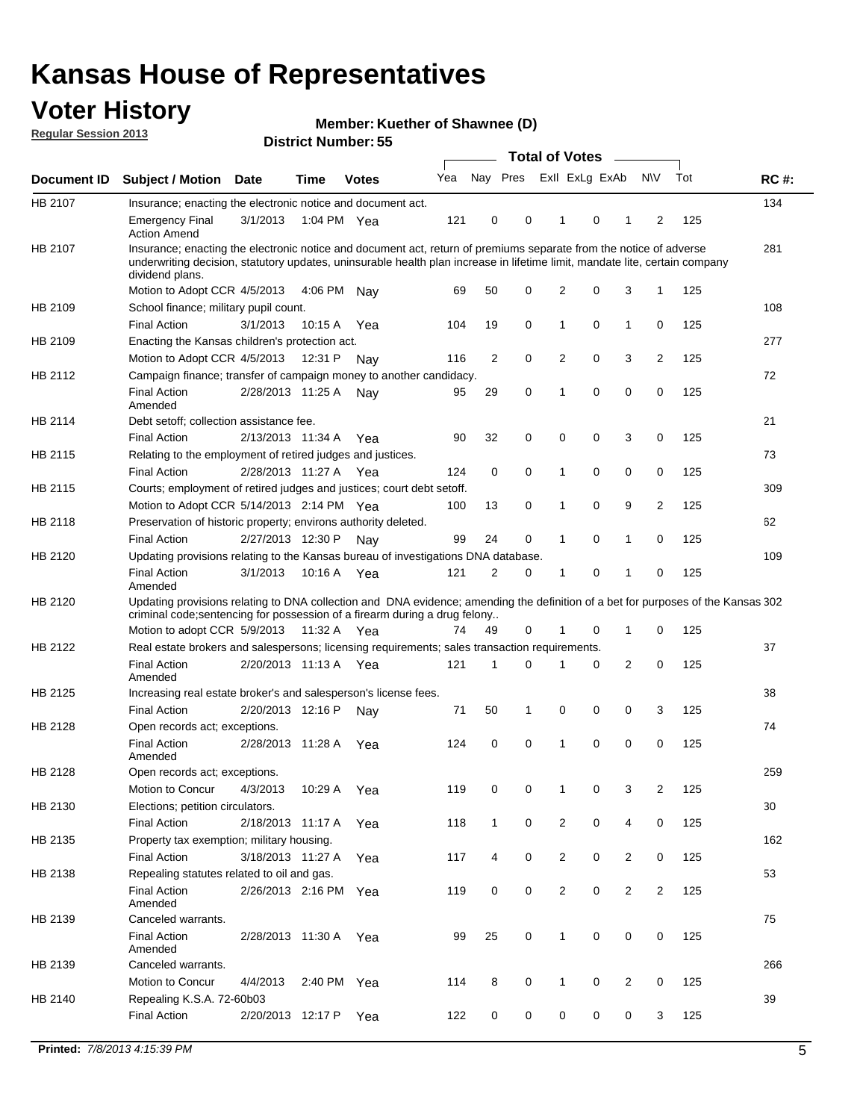## **Voter History**

**Member: Kuether of Shawnee (D)** 

**Regular Session 2013**

|             |                                                                                                                                                                                                                                                                      |                       |             | טט. וסמוווטנו ועוווטכו |     |              |             | <b>Total of Votes</b> |   | $\overline{\phantom{a}}$ |                |     |             |
|-------------|----------------------------------------------------------------------------------------------------------------------------------------------------------------------------------------------------------------------------------------------------------------------|-----------------------|-------------|------------------------|-----|--------------|-------------|-----------------------|---|--------------------------|----------------|-----|-------------|
| Document ID | <b>Subject / Motion Date</b>                                                                                                                                                                                                                                         |                       | <b>Time</b> | <b>Votes</b>           | Yea | Nay Pres     |             | Exll ExLg ExAb        |   |                          | <b>NV</b>      | Tot | <b>RC#:</b> |
| HB 2107     | Insurance; enacting the electronic notice and document act.                                                                                                                                                                                                          |                       |             |                        |     |              |             |                       |   |                          |                |     | 134         |
|             | <b>Emergency Final</b><br><b>Action Amend</b>                                                                                                                                                                                                                        | 3/1/2013              | 1:04 PM Yea |                        | 121 | 0            | 0           | 1                     | 0 | 1                        | 2              | 125 |             |
| HB 2107     | Insurance; enacting the electronic notice and document act, return of premiums separate from the notice of adverse<br>underwriting decision, statutory updates, uninsurable health plan increase in lifetime limit, mandate lite, certain company<br>dividend plans. |                       |             |                        |     |              |             |                       |   |                          |                |     | 281         |
|             | Motion to Adopt CCR 4/5/2013                                                                                                                                                                                                                                         |                       | 4:06 PM     | Nav                    | 69  | 50           | 0           | 2                     | 0 | 3                        | $\mathbf{1}$   | 125 |             |
| HB 2109     | School finance; military pupil count.                                                                                                                                                                                                                                |                       |             |                        |     |              |             |                       |   |                          |                |     | 108         |
|             | <b>Final Action</b>                                                                                                                                                                                                                                                  | 3/1/2013              | 10:15A      | Yea                    | 104 | 19           | 0           | 1                     | 0 | $\mathbf{1}$             | 0              | 125 |             |
| HB 2109     | Enacting the Kansas children's protection act.                                                                                                                                                                                                                       |                       |             |                        |     |              |             |                       |   |                          |                |     | 277         |
|             | Motion to Adopt CCR 4/5/2013                                                                                                                                                                                                                                         |                       | 12:31 P     | Nav                    | 116 | 2            | 0           | 2                     | 0 | 3                        | $\overline{2}$ | 125 |             |
| HB 2112     | Campaign finance; transfer of campaign money to another candidacy.                                                                                                                                                                                                   |                       |             |                        |     |              |             |                       |   |                          |                |     | 72          |
|             | <b>Final Action</b><br>Amended                                                                                                                                                                                                                                       | 2/28/2013 11:25 A     |             | Nay                    | 95  | 29           | 0           | 1                     | 0 | 0                        | 0              | 125 |             |
| HB 2114     | Debt setoff; collection assistance fee.                                                                                                                                                                                                                              |                       |             |                        |     |              |             |                       |   |                          |                |     | 21          |
|             | <b>Final Action</b>                                                                                                                                                                                                                                                  | 2/13/2013 11:34 A     |             | Yea                    | 90  | 32           | 0           | 0                     | 0 | 3                        | 0              | 125 |             |
| HB 2115     | Relating to the employment of retired judges and justices.                                                                                                                                                                                                           |                       |             |                        |     |              |             |                       |   |                          |                |     | 73          |
|             | <b>Final Action</b>                                                                                                                                                                                                                                                  | 2/28/2013 11:27 A     |             | Yea                    | 124 | 0            | $\mathbf 0$ | 1                     | 0 | 0                        | 0              | 125 |             |
| HB 2115     | Courts; employment of retired judges and justices; court debt setoff.                                                                                                                                                                                                |                       |             |                        |     |              |             |                       |   |                          |                |     | 309         |
|             | Motion to Adopt CCR 5/14/2013 2:14 PM Yea                                                                                                                                                                                                                            |                       |             |                        | 100 | 13           | 0           | 1                     | 0 | 9                        | $\overline{2}$ | 125 |             |
| HB 2118     | Preservation of historic property; environs authority deleted.                                                                                                                                                                                                       |                       |             |                        |     |              |             |                       |   |                          |                |     | 62          |
|             | <b>Final Action</b>                                                                                                                                                                                                                                                  | 2/27/2013 12:30 P     |             | Nay                    | 99  | 24           | 0           | 1                     | 0 | $\mathbf{1}$             | 0              | 125 |             |
| HB 2120     | Updating provisions relating to the Kansas bureau of investigations DNA database.                                                                                                                                                                                    |                       |             |                        |     |              |             |                       |   |                          |                |     | 109         |
|             | <b>Final Action</b><br>Amended                                                                                                                                                                                                                                       | 3/1/2013              | 10:16 A     | Yea                    | 121 | 2            | 0           | 1                     | 0 | 1                        | 0              | 125 |             |
| HB 2120     | Updating provisions relating to DNA collection and DNA evidence; amending the definition of a bet for purposes of the Kansas 302<br>criminal code; sentencing for possession of a firearm during a drug felony                                                       |                       |             |                        |     |              |             |                       |   |                          |                |     |             |
|             | Motion to adopt CCR 5/9/2013                                                                                                                                                                                                                                         |                       | 11:32 A Yea |                        | 74  | 49           | 0           |                       | 0 | 1                        | 0              | 125 |             |
| HB 2122     | Real estate brokers and salespersons; licensing requirements; sales transaction requirements.                                                                                                                                                                        |                       |             |                        |     |              |             |                       |   |                          |                |     | 37          |
|             | <b>Final Action</b><br>Amended                                                                                                                                                                                                                                       | 2/20/2013 11:13 A Yea |             |                        | 121 | 1            | $\Omega$    |                       | 0 | 2                        | 0              | 125 |             |
| HB 2125     | Increasing real estate broker's and salesperson's license fees.                                                                                                                                                                                                      |                       |             |                        |     |              |             |                       |   |                          |                |     | 38          |
|             | <b>Final Action</b>                                                                                                                                                                                                                                                  | 2/20/2013 12:16 P     |             | Nav                    | 71  | 50           | 1           | 0                     | 0 | 0                        | 3              | 125 |             |
| HB 2128     | Open records act; exceptions.                                                                                                                                                                                                                                        |                       |             |                        |     |              |             |                       |   |                          |                |     | 74          |
|             | <b>Final Action</b><br>Amended                                                                                                                                                                                                                                       | 2/28/2013 11:28 A     |             | Yea                    | 124 | 0            | $\mathbf 0$ | 1                     | 0 | 0                        | 0              | 125 |             |
| HB 2128     | Open records act; exceptions.                                                                                                                                                                                                                                        |                       |             |                        |     |              |             |                       |   |                          |                |     | 259         |
|             | Motion to Concur                                                                                                                                                                                                                                                     | 4/3/2013              | 10:29 A     | Yea                    | 119 | 0            | 0           | 1                     | 0 | 3                        | $\overline{2}$ | 125 |             |
| HB 2130     | Elections; petition circulators.                                                                                                                                                                                                                                     |                       |             |                        |     |              |             |                       |   |                          |                |     | 30          |
|             | <b>Final Action</b>                                                                                                                                                                                                                                                  | 2/18/2013 11:17 A     |             | Yea                    | 118 | $\mathbf{1}$ | 0           | $\overline{c}$        | 0 | 4                        | 0              | 125 |             |
| HB 2135     | Property tax exemption; military housing.                                                                                                                                                                                                                            |                       |             |                        |     |              |             |                       |   |                          |                |     | 162         |
|             | <b>Final Action</b>                                                                                                                                                                                                                                                  | 3/18/2013 11:27 A     |             | Yea                    | 117 | 4            | 0           | $\overline{c}$        | 0 | $\overline{2}$           | 0              | 125 |             |
| HB 2138     | Repealing statutes related to oil and gas.                                                                                                                                                                                                                           |                       |             |                        |     |              |             |                       |   |                          |                |     | 53          |
|             | <b>Final Action</b><br>Amended                                                                                                                                                                                                                                       | 2/26/2013 2:16 PM Yea |             |                        | 119 | 0            | 0           | 2                     | 0 | $\overline{2}$           | $\overline{2}$ | 125 |             |
| HB 2139     | Canceled warrants.                                                                                                                                                                                                                                                   |                       |             |                        |     |              |             |                       |   |                          |                |     | 75          |
|             | <b>Final Action</b><br>Amended                                                                                                                                                                                                                                       | 2/28/2013 11:30 A     |             | Yea                    | 99  | 25           | 0           | 1                     | 0 | 0                        | 0              | 125 |             |
| HB 2139     | Canceled warrants.                                                                                                                                                                                                                                                   |                       |             |                        |     |              |             |                       |   |                          |                |     | 266         |
|             | Motion to Concur                                                                                                                                                                                                                                                     | 4/4/2013              | 2:40 PM     | Yea                    | 114 | 8            | 0           | 1                     | 0 | 2                        | 0              | 125 |             |
| HB 2140     | Repealing K.S.A. 72-60b03                                                                                                                                                                                                                                            |                       |             |                        |     |              |             |                       |   |                          |                |     | 39          |
|             | <b>Final Action</b>                                                                                                                                                                                                                                                  | 2/20/2013 12:17 P     |             | Yea                    | 122 | 0            | 0           | 0                     | 0 | 0                        | 3              | 125 |             |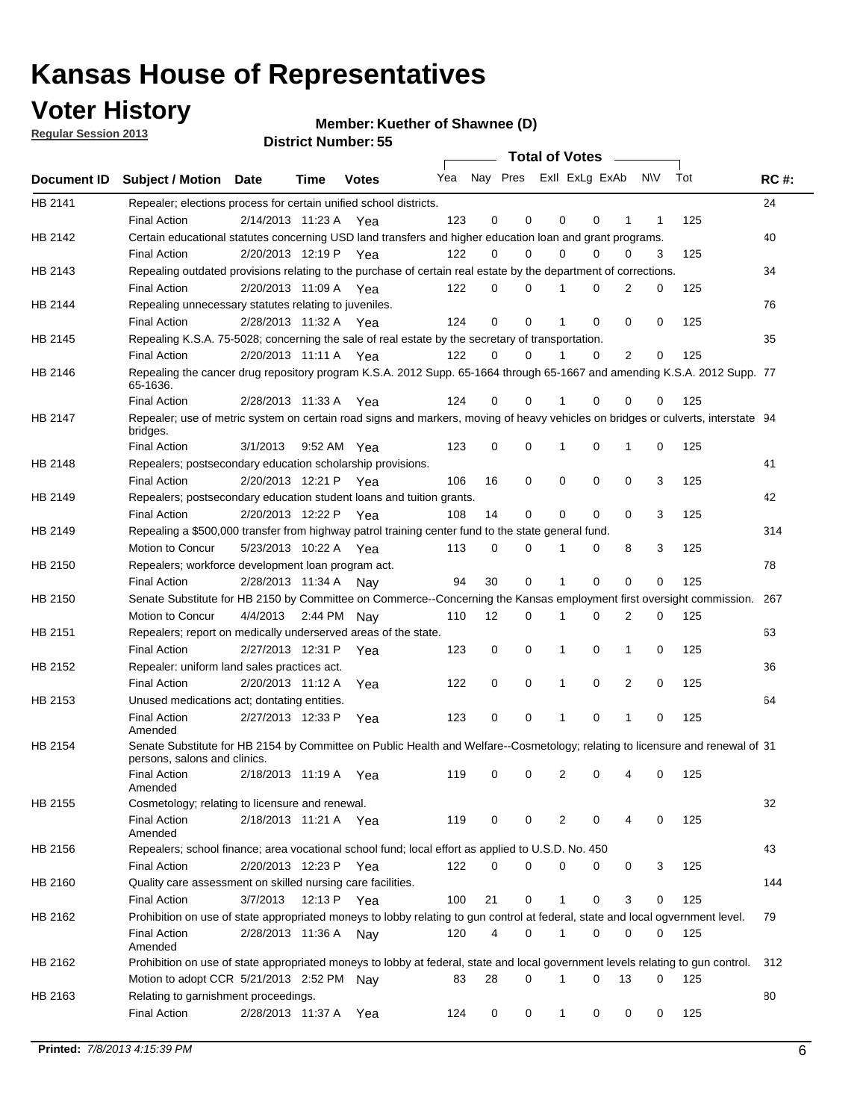## **Voter History**

**Member: Kuether of Shawnee (D)** 

**Regular Session 2013**

|             |                                                                                                                                              |                       |                   |              |     |    | <b>Total of Votes</b>   |              |   | $\sim$   |     |     |             |
|-------------|----------------------------------------------------------------------------------------------------------------------------------------------|-----------------------|-------------------|--------------|-----|----|-------------------------|--------------|---|----------|-----|-----|-------------|
| Document ID | <b>Subject / Motion Date</b>                                                                                                                 |                       | Time              | <b>Votes</b> | Yea |    | Nay Pres Exll ExLg ExAb |              |   |          | N\V | Tot | <b>RC#:</b> |
| HB 2141     | Repealer; elections process for certain unified school districts.                                                                            |                       |                   |              |     |    |                         |              |   |          |     |     | 24          |
|             | <b>Final Action</b>                                                                                                                          | 2/14/2013 11:23 A     |                   | Yea          | 123 | 0  | 0                       | 0            | 0 | 1        | 1   | 125 |             |
| HB 2142     | Certain educational statutes concerning USD land transfers and higher education loan and grant programs.                                     |                       |                   |              |     |    |                         |              |   |          |     |     | 40          |
|             | <b>Final Action</b>                                                                                                                          | 2/20/2013 12:19 P     |                   | Yea          | 122 | 0  | 0                       | 0            | 0 | 0        | 3   | 125 |             |
| HB 2143     | Repealing outdated provisions relating to the purchase of certain real estate by the department of corrections.                              |                       |                   |              |     |    |                         |              |   |          |     |     | 34          |
|             | <b>Final Action</b>                                                                                                                          | 2/20/2013 11:09 A     |                   | Yea          | 122 | 0  | 0                       |              | 0 | 2        | 0   | 125 |             |
| HB 2144     | Repealing unnecessary statutes relating to juveniles.                                                                                        |                       |                   |              |     |    |                         |              |   |          |     |     | 76          |
|             | <b>Final Action</b>                                                                                                                          | 2/28/2013 11:32 A Yea |                   |              | 124 | 0  | 0                       |              | 0 | 0        | 0   | 125 |             |
| HB 2145     | Repealing K.S.A. 75-5028; concerning the sale of real estate by the secretary of transportation.                                             |                       |                   |              |     |    |                         |              |   |          |     |     | 35          |
|             | <b>Final Action</b>                                                                                                                          | 2/20/2013 11:11 A Yea |                   |              | 122 | 0  | 0                       |              | 0 | 2        | 0   | 125 |             |
| HB 2146     | Repealing the cancer drug repository program K.S.A. 2012 Supp. 65-1664 through 65-1667 and amending K.S.A. 2012 Supp. 77<br>65-1636.         |                       |                   |              |     |    |                         |              |   |          |     |     |             |
|             | <b>Final Action</b>                                                                                                                          | 2/28/2013 11:33 A     |                   | Yea          | 124 | 0  | 0                       |              | 0 | 0        | 0   | 125 |             |
| HB 2147     | Repealer; use of metric system on certain road signs and markers, moving of heavy vehicles on bridges or culverts, interstate 94<br>bridges. |                       |                   |              |     |    |                         |              |   |          |     |     |             |
|             | <b>Final Action</b>                                                                                                                          | 3/1/2013              |                   | 9:52 AM Yea  | 123 | 0  | 0                       | 1            | 0 | 1        | 0   | 125 |             |
| HB 2148     | Repealers; postsecondary education scholarship provisions.                                                                                   |                       |                   |              |     |    |                         |              |   |          |     |     | 41          |
|             | <b>Final Action</b>                                                                                                                          | 2/20/2013 12:21 P Yea |                   |              | 106 | 16 | 0                       | 0            | 0 | 0        | 3   | 125 |             |
| HB 2149     | Repealers; postsecondary education student loans and tuition grants.                                                                         |                       |                   |              |     |    |                         |              |   |          |     |     | 42          |
|             | <b>Final Action</b>                                                                                                                          | 2/20/2013 12:22 P     |                   | Yea          | 108 | 14 | 0                       | 0            | 0 | $\Omega$ | 3   | 125 |             |
| HB 2149     | Repealing a \$500,000 transfer from highway patrol training center fund to the state general fund.                                           |                       |                   |              |     |    |                         |              |   |          |     |     | 314         |
|             | Motion to Concur                                                                                                                             | 5/23/2013 10:22 A Yea |                   |              | 113 | 0  | 0                       |              | 0 | 8        | 3   | 125 |             |
| HB 2150     | Repealers; workforce development loan program act.                                                                                           |                       |                   |              |     |    |                         |              |   |          |     |     | 78          |
|             | <b>Final Action</b>                                                                                                                          | 2/28/2013 11:34 A     |                   | Nav          | 94  | 30 | 0                       | 1            | 0 | 0        | 0   | 125 |             |
| HB 2150     | Senate Substitute for HB 2150 by Committee on Commerce--Concerning the Kansas employment first oversight commission.                         |                       |                   |              |     |    |                         |              |   |          |     |     | 267         |
|             | Motion to Concur                                                                                                                             | 4/4/2013              |                   | 2:44 PM Nay  | 110 | 12 | 0                       | 1            | 0 | 2        | 0   | 125 |             |
| HB 2151     | Repealers; report on medically underserved areas of the state.                                                                               |                       |                   |              |     |    |                         |              |   |          |     |     | 63          |
|             | <b>Final Action</b>                                                                                                                          | 2/27/2013 12:31 P     |                   | Yea          | 123 | 0  | 0                       | 1            | 0 | 1        | 0   | 125 |             |
| HB 2152     | Repealer: uniform land sales practices act.                                                                                                  |                       |                   |              |     |    |                         |              |   |          |     |     | 36          |
|             | <b>Final Action</b>                                                                                                                          | 2/20/2013 11:12 A     |                   | Yea          | 122 | 0  | 0                       | 1            | 0 | 2        | 0   | 125 |             |
| HB 2153     | Unused medications act; dontating entities.                                                                                                  |                       |                   |              |     |    |                         |              |   |          |     |     | 64          |
|             | <b>Final Action</b><br>Amended                                                                                                               | 2/27/2013 12:33 P     |                   | Yea          | 123 | 0  | 0                       | 1            | 0 | 1        | 0   | 125 |             |
| HB 2154     | Senate Substitute for HB 2154 by Committee on Public Health and Welfare--Cosmetology; relating to licensure and renewal of 31                |                       |                   |              |     |    |                         |              |   |          |     |     |             |
|             | persons, salons and clinics.                                                                                                                 |                       |                   |              |     |    |                         |              |   |          |     |     |             |
|             | <b>Final Action</b><br>Amended                                                                                                               |                       | 2/18/2013 11:19 A | Yea          | 119 | 0  | 0                       | 2            | 0 | 4        | 0   | 125 |             |
| HB 2155     | Cosmetology; relating to licensure and renewal.                                                                                              |                       |                   |              |     |    |                         |              |   |          |     |     | 32          |
|             | <b>Final Action</b><br>Amended                                                                                                               | 2/18/2013 11:21 A Yea |                   |              | 119 | 0  | 0                       | 2            | 0 | 4        | 0   | 125 |             |
| HB 2156     | Repealers; school finance; area vocational school fund; local effort as applied to U.S.D. No. 450                                            |                       |                   |              |     |    |                         |              |   |          |     |     | 43          |
|             | <b>Final Action</b>                                                                                                                          | 2/20/2013 12:23 P     |                   | Yea          | 122 | 0  | $\Omega$                | 0            | 0 | 0        | 3   | 125 |             |
| HB 2160     | Quality care assessment on skilled nursing care facilities.                                                                                  |                       |                   |              |     |    |                         |              |   |          |     |     | 144         |
|             | <b>Final Action</b>                                                                                                                          | 3/7/2013              | 12:13 P           |              | 100 | 21 | 0                       | $\mathbf{1}$ | 0 | 3        | 0   | 125 |             |
|             | Prohibition on use of state appropriated moneys to lobby relating to gun control at federal, state and local ogvernment level.               |                       |                   | Yea          |     |    |                         |              |   |          |     |     |             |
| HB 2162     |                                                                                                                                              |                       |                   |              |     |    |                         | 1            |   |          |     |     | 79          |
|             | <b>Final Action</b><br>Amended                                                                                                               | 2/28/2013 11:36 A     |                   | Nay          | 120 | 4  | 0                       |              | 0 | 0        | 0   | 125 |             |
| HB 2162     | Prohibition on use of state appropriated moneys to lobby at federal, state and local government levels relating to gun control.              |                       |                   |              |     |    |                         |              |   |          |     |     | 312         |
|             | Motion to adopt CCR 5/21/2013 2:52 PM Nay                                                                                                    |                       |                   |              | 83  | 28 | 0                       | 1            | 0 | 13       | 0   | 125 |             |
| HB 2163     | Relating to garnishment proceedings.                                                                                                         |                       |                   |              |     |    |                         |              |   |          |     |     | 80          |
|             | <b>Final Action</b>                                                                                                                          | 2/28/2013 11:37 A Yea |                   |              | 124 | 0  | 0                       | $\mathbf{1}$ | 0 | 0        | 0   | 125 |             |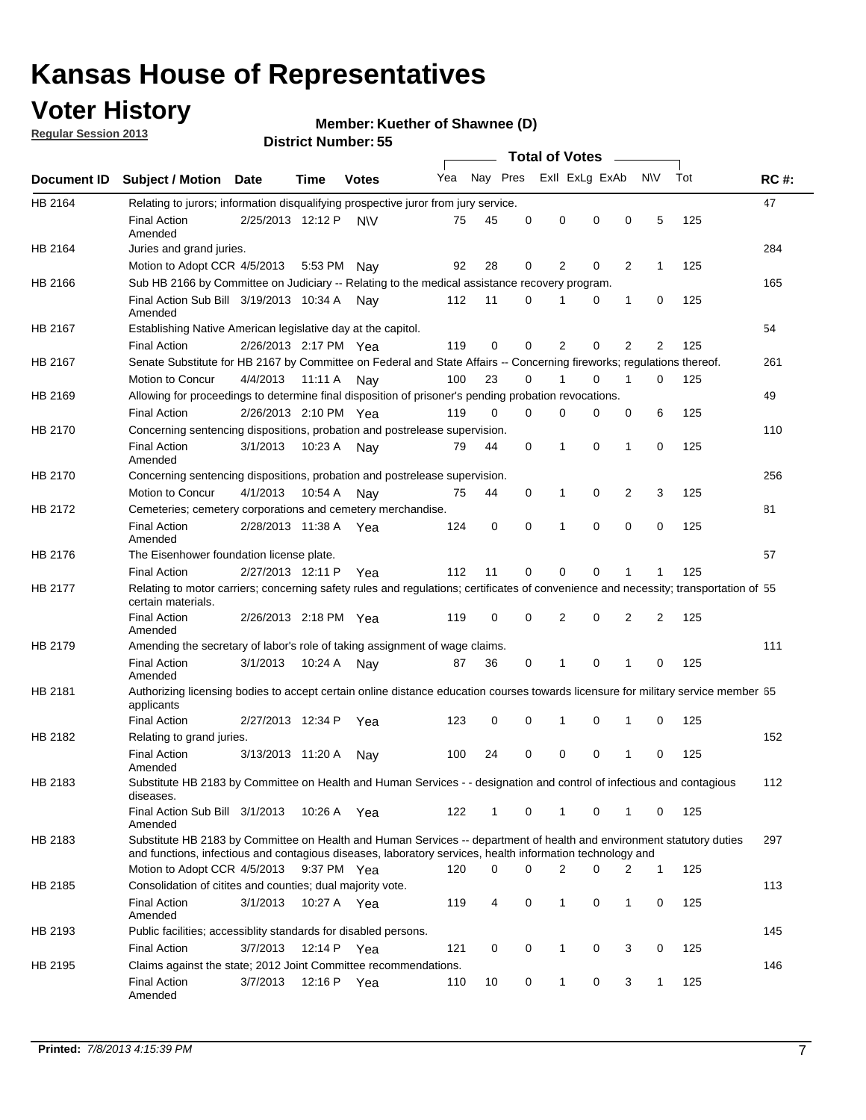## **Voter History**

**Member: Kuether of Shawnee (D)** 

**Regular Session 2013**

|             |                                                                                                                                                                                                                                    |                       | טט וסווווארו ועוווסו |              |     |          |          | <b>Total of Votes</b> |   | $\overline{\phantom{a}}$ |                |     |             |
|-------------|------------------------------------------------------------------------------------------------------------------------------------------------------------------------------------------------------------------------------------|-----------------------|----------------------|--------------|-----|----------|----------|-----------------------|---|--------------------------|----------------|-----|-------------|
| Document ID | <b>Subject / Motion Date</b>                                                                                                                                                                                                       |                       | Time                 | <b>Votes</b> | Yea | Nay Pres |          | Exll ExLg ExAb        |   |                          | <b>NV</b>      | Tot | <b>RC#:</b> |
| HB 2164     | Relating to jurors; information disqualifying prospective juror from jury service.                                                                                                                                                 |                       |                      |              |     |          |          |                       |   |                          |                |     | 47          |
|             | <b>Final Action</b><br>Amended                                                                                                                                                                                                     | 2/25/2013 12:12 P     |                      | <b>NV</b>    | 75  | 45       | 0        | 0                     | 0 | 0                        | 5              | 125 |             |
| HB 2164     | Juries and grand juries.                                                                                                                                                                                                           |                       |                      |              |     |          |          |                       |   |                          |                |     | 284         |
|             | Motion to Adopt CCR 4/5/2013                                                                                                                                                                                                       |                       | 5:53 PM Nav          |              | 92  | 28       | 0        | 2                     | 0 | $\overline{2}$           | $\mathbf{1}$   | 125 |             |
| HB 2166     | Sub HB 2166 by Committee on Judiciary -- Relating to the medical assistance recovery program.                                                                                                                                      |                       |                      |              |     |          |          |                       |   |                          |                |     | 165         |
|             | Final Action Sub Bill 3/19/2013 10:34 A<br>Amended                                                                                                                                                                                 |                       |                      | Nav          | 112 | 11       | $\Omega$ |                       | 0 | 1                        | 0              | 125 |             |
| HB 2167     | Establishing Native American legislative day at the capitol.                                                                                                                                                                       |                       |                      |              |     |          |          |                       |   |                          |                |     | 54          |
|             | <b>Final Action</b>                                                                                                                                                                                                                | 2/26/2013 2:17 PM Yea |                      |              | 119 | 0        | $\Omega$ | 2                     | 0 | $\overline{2}$           | 2              | 125 |             |
| HB 2167     | Senate Substitute for HB 2167 by Committee on Federal and State Affairs -- Concerning fireworks; regulations thereof.                                                                                                              |                       |                      |              |     |          |          |                       |   |                          |                |     | 261         |
|             | Motion to Concur                                                                                                                                                                                                                   | 4/4/2013              | 11:11 A              | Nav          | 100 | 23       | 0        | 1                     | 0 | 1                        | 0              | 125 |             |
| HB 2169     | Allowing for proceedings to determine final disposition of prisoner's pending probation revocations.                                                                                                                               |                       |                      |              |     |          |          |                       |   |                          |                |     | 49          |
|             | <b>Final Action</b>                                                                                                                                                                                                                | 2/26/2013 2:10 PM Yea |                      |              | 119 | 0        | 0        | 0                     | 0 | 0                        | 6              | 125 |             |
| HB 2170     | Concerning sentencing dispositions, probation and postrelease supervision.                                                                                                                                                         |                       |                      |              |     |          |          |                       |   |                          |                |     | 110         |
|             | <b>Final Action</b><br>Amended                                                                                                                                                                                                     | 3/1/2013              | 10:23 A              | Nay          | 79  | 44       | 0        | 1                     | 0 | 1                        | 0              | 125 |             |
| HB 2170     | Concerning sentencing dispositions, probation and postrelease supervision.                                                                                                                                                         |                       |                      |              |     |          |          |                       |   |                          |                |     | 256         |
|             | Motion to Concur                                                                                                                                                                                                                   | 4/1/2013              | 10:54 A              | Nay          | 75  | 44       | 0        | 1                     | 0 | $\overline{2}$           | 3              | 125 |             |
| HB 2172     | Cemeteries; cemetery corporations and cemetery merchandise.                                                                                                                                                                        |                       |                      |              |     |          |          |                       |   |                          |                |     | 81          |
|             | <b>Final Action</b><br>Amended                                                                                                                                                                                                     | 2/28/2013 11:38 A Yea |                      |              | 124 | 0        | 0        | 1                     | 0 | $\Omega$                 | 0              | 125 |             |
| HB 2176     | The Eisenhower foundation license plate.                                                                                                                                                                                           |                       |                      |              |     |          |          |                       |   |                          |                |     | 57          |
|             | <b>Final Action</b>                                                                                                                                                                                                                | 2/27/2013 12:11 P     |                      | Yea          | 112 | 11       | $\Omega$ | 0                     | 0 | 1                        | 1              | 125 |             |
| HB 2177     | Relating to motor carriers; concerning safety rules and regulations; certificates of convenience and necessity; transportation of 55<br>certain materials.                                                                         |                       |                      |              |     |          |          |                       |   |                          |                |     |             |
|             | <b>Final Action</b><br>Amended                                                                                                                                                                                                     | 2/26/2013 2:18 PM Yea |                      |              | 119 | 0        | $\Omega$ | 2                     | 0 | $\overline{2}$           | $\overline{2}$ | 125 |             |
| HB 2179     | Amending the secretary of labor's role of taking assignment of wage claims.                                                                                                                                                        |                       |                      |              |     |          |          |                       |   |                          |                |     | 111         |
|             | <b>Final Action</b><br>Amended                                                                                                                                                                                                     | 3/1/2013              | 10:24 A              | Nav          | 87  | 36       | 0        | 1                     | 0 | 1                        | 0              | 125 |             |
| HB 2181     | Authorizing licensing bodies to accept certain online distance education courses towards licensure for military service member 55<br>applicants                                                                                    |                       |                      |              |     |          |          |                       |   |                          |                |     |             |
|             | <b>Final Action</b>                                                                                                                                                                                                                | 2/27/2013 12:34 P     |                      | Yea          | 123 | 0        | 0        |                       | 0 | 1                        | 0              | 125 |             |
| HB 2182     | Relating to grand juries.                                                                                                                                                                                                          |                       |                      |              |     |          |          |                       |   |                          |                |     | 152         |
|             | <b>Final Action</b><br>Amended                                                                                                                                                                                                     | 3/13/2013 11:20 A     |                      | Nav          | 100 | 24       | 0        | 0                     | 0 | 1                        | 0              | 125 |             |
| HB 2183     | Substitute HB 2183 by Committee on Health and Human Services - - designation and control of infectious and contagious<br>diseases.                                                                                                 |                       |                      |              |     |          |          |                       |   |                          |                |     | 112         |
|             | Final Action Sub Bill 3/1/2013<br>Amended                                                                                                                                                                                          |                       | 10:26 A Yea          |              | 122 | 1        | 0        | 1                     | 0 | 1                        | 0              | 125 |             |
| HB 2183     | Substitute HB 2183 by Committee on Health and Human Services -- department of health and environment statutory duties<br>and functions, infectious and contagious diseases, laboratory services, health information technology and |                       |                      |              |     |          |          |                       |   |                          |                |     | 297         |
|             | Motion to Adopt CCR 4/5/2013                                                                                                                                                                                                       |                       | 9:37 PM Yea          |              | 120 | 0        | 0        | 2                     | 0 | 2                        | 1              | 125 |             |
| HB 2185     | Consolidation of citites and counties; dual majority vote.                                                                                                                                                                         |                       |                      |              |     |          |          |                       |   |                          |                |     | 113         |
|             | <b>Final Action</b><br>Amended                                                                                                                                                                                                     | 3/1/2013              | 10:27 A Yea          |              | 119 | 4        | 0        | 1                     | 0 | $\mathbf{1}$             | 0              | 125 |             |
| HB 2193     | Public facilities; accessiblity standards for disabled persons.                                                                                                                                                                    |                       |                      |              |     |          |          |                       |   |                          |                |     | 145         |
|             | <b>Final Action</b>                                                                                                                                                                                                                | 3/7/2013              | 12:14 P              | Yea          | 121 | 0        | 0        | 1                     | 0 | 3                        | 0              | 125 |             |
| HB 2195     | Claims against the state; 2012 Joint Committee recommendations.                                                                                                                                                                    |                       |                      |              |     |          |          |                       |   |                          |                |     | 146         |
|             | <b>Final Action</b><br>Amended                                                                                                                                                                                                     | 3/7/2013              | 12:16 P Yea          |              | 110 | 10       | 0        | 1                     | 0 | 3                        | 1              | 125 |             |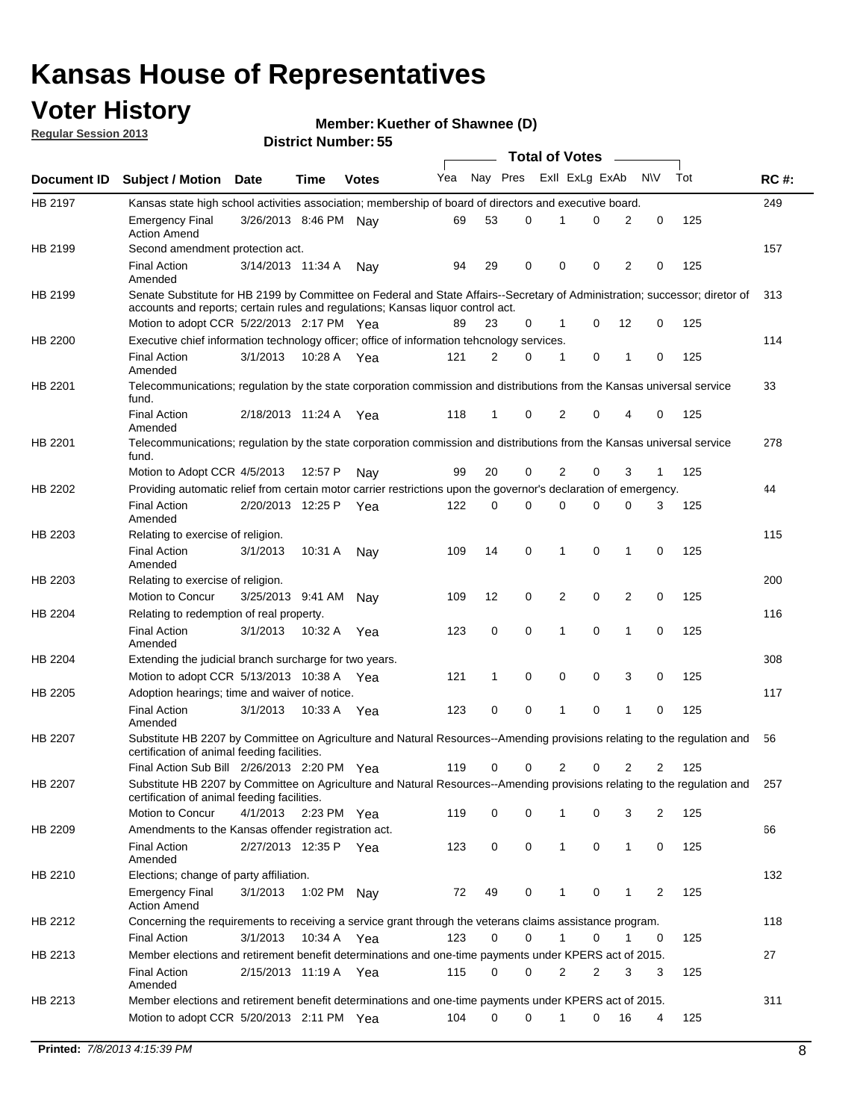## **Voter History**

**Member: Kuether of Shawnee (D)** 

**Regular Session 2013**

|                |                                                                                                                                                                             |                       |             |              |     |          |          | <b>Total of Votes</b> |   |              |            |     |             |
|----------------|-----------------------------------------------------------------------------------------------------------------------------------------------------------------------------|-----------------------|-------------|--------------|-----|----------|----------|-----------------------|---|--------------|------------|-----|-------------|
| Document ID    | <b>Subject / Motion Date</b>                                                                                                                                                |                       | Time        | <b>Votes</b> | Yea | Nay Pres |          | Exll ExLg ExAb        |   |              | <b>N/A</b> | Tot | <b>RC#:</b> |
| HB 2197        | Kansas state high school activities association; membership of board of directors and executive board.                                                                      |                       |             |              |     |          |          |                       |   |              |            |     | 249         |
|                | Emergency Final<br><b>Action Amend</b>                                                                                                                                      | 3/26/2013 8:46 PM     |             | Nav          | 69  | 53       | 0        |                       | 0 | 2            | 0          | 125 |             |
| HB 2199        | Second amendment protection act.                                                                                                                                            |                       |             |              |     |          |          |                       |   |              |            |     | 157         |
|                | <b>Final Action</b><br>Amended                                                                                                                                              | 3/14/2013 11:34 A     |             | Nav          | 94  | 29       | 0        | 0                     | 0 | 2            | 0          | 125 |             |
| HB 2199        | Senate Substitute for HB 2199 by Committee on Federal and State Affairs--Secretary of Administration; successor; diretor of                                                 |                       |             |              |     |          |          |                       |   |              |            |     | 313         |
|                | accounts and reports; certain rules and regulations; Kansas liguor control act.                                                                                             |                       |             |              |     |          |          |                       |   |              |            |     |             |
|                | Motion to adopt CCR 5/22/2013 2:17 PM Yea                                                                                                                                   |                       |             |              | 89  | 23       | 0        | 1                     | 0 | 12           | 0          | 125 |             |
| HB 2200        | Executive chief information technology officer; office of information tehcnology services.                                                                                  |                       |             |              |     |          |          |                       |   |              |            |     | 114         |
|                | <b>Final Action</b><br>Amended                                                                                                                                              | 3/1/2013              | 10:28 A     | Yea          | 121 | 2        | 0        | 1                     | 0 | 1            | 0          | 125 |             |
| HB 2201        | Telecommunications; regulation by the state corporation commission and distributions from the Kansas universal service<br>fund.                                             |                       |             |              |     |          |          |                       |   |              |            |     | 33          |
|                | <b>Final Action</b><br>Amended                                                                                                                                              | 2/18/2013 11:24 A     |             | Yea          | 118 | 1        | 0        | 2                     | 0 | 4            | 0          | 125 |             |
| HB 2201        | Telecommunications; regulation by the state corporation commission and distributions from the Kansas universal service<br>fund.                                             |                       |             |              |     |          |          |                       |   |              |            |     | 278         |
|                | Motion to Adopt CCR 4/5/2013                                                                                                                                                |                       | 12:57 P     | Nav          | 99  | 20       | 0        | 2                     | 0 | 3            | 1          | 125 |             |
| HB 2202        | Providing automatic relief from certain motor carrier restrictions upon the governor's declaration of emergency.                                                            |                       |             |              |     |          |          |                       |   |              |            |     | 44          |
|                | <b>Final Action</b><br>Amended                                                                                                                                              | 2/20/2013 12:25 P     |             | Yea          | 122 | 0        | 0        | 0                     | 0 | 0            | 3          | 125 |             |
| HB 2203        | Relating to exercise of religion.                                                                                                                                           |                       |             |              |     |          |          |                       |   |              |            |     | 115         |
|                | <b>Final Action</b><br>Amended                                                                                                                                              | 3/1/2013              | 10:31 A     | Nay          | 109 | 14       | 0        | 1                     | 0 | 1            | 0          | 125 |             |
| HB 2203        | Relating to exercise of religion.                                                                                                                                           |                       |             |              |     |          |          |                       |   |              |            |     | 200         |
|                | Motion to Concur                                                                                                                                                            | 3/25/2013 9:41 AM     |             | Nav          | 109 | 12       | 0        | 2                     | 0 | 2            | 0          | 125 |             |
| HB 2204        | Relating to redemption of real property.                                                                                                                                    |                       |             |              |     |          |          |                       |   |              |            |     | 116         |
|                | <b>Final Action</b><br>Amended                                                                                                                                              | 3/1/2013              | 10:32 A     | Yea          | 123 | 0        | 0        | 1                     | 0 | 1            | 0          | 125 |             |
| HB 2204        | Extending the judicial branch surcharge for two years.                                                                                                                      |                       |             |              |     |          |          |                       |   |              |            |     | 308         |
|                | Motion to adopt CCR 5/13/2013 10:38 A                                                                                                                                       |                       |             | Yea          | 121 | 1        | 0        | 0                     | 0 | 3            | 0          | 125 |             |
| HB 2205        | Adoption hearings; time and waiver of notice.                                                                                                                               |                       |             |              |     |          |          |                       |   |              |            |     | 117         |
|                | <b>Final Action</b><br>Amended                                                                                                                                              | 3/1/2013              | 10:33 A Yea |              | 123 | 0        | 0        | 1                     | 0 | 1            | 0          | 125 |             |
| HB 2207        | Substitute HB 2207 by Committee on Agriculture and Natural Resources--Amending provisions relating to the regulation and<br>certification of animal feeding facilities.     |                       |             |              |     |          |          |                       |   |              |            |     | 56          |
|                | Final Action Sub Bill 2/26/2013 2:20 PM Yea                                                                                                                                 |                       |             |              | 119 | 0        | 0        | 2                     | 0 | 2            | 2          | 125 |             |
| <b>HB 2207</b> | Substitute HB 2207 by Committee on Agriculture and Natural Resources--Amending provisions relating to the regulation and 257<br>certification of animal feeding facilities. |                       |             |              |     |          |          |                       |   |              |            |     |             |
|                | Motion to Concur                                                                                                                                                            | 4/1/2013 2:23 PM Yea  |             |              | 119 | 0        | 0        | 1                     | 0 | 3            | 2          | 125 |             |
| HB 2209        | Amendments to the Kansas offender registration act.                                                                                                                         |                       |             |              |     |          |          |                       |   |              |            |     | 66          |
|                | <b>Final Action</b><br>Amended                                                                                                                                              | 2/27/2013 12:35 P Yea |             |              | 123 | 0        | 0        | $\mathbf{1}$          | 0 | $\mathbf{1}$ | 0          | 125 |             |
| HB 2210        | Elections; change of party affiliation.                                                                                                                                     |                       |             |              |     |          |          |                       |   |              |            |     | 132         |
|                | <b>Emergency Final</b><br><b>Action Amend</b>                                                                                                                               | 3/1/2013              | 1:02 PM Nay |              | 72  | 49       | 0        |                       | 0 | 1            | 2          | 125 |             |
| HB 2212        | Concerning the requirements to receiving a service grant through the veterans claims assistance program.                                                                    |                       |             |              |     |          |          |                       |   |              |            |     | 118         |
|                | Final Action                                                                                                                                                                | 3/1/2013              | 10:34 A Yea |              | 123 | 0        | 0        | $\mathbf{1}$          | 0 | 1            | 0          | 125 |             |
| HB 2213        | Member elections and retirement benefit determinations and one-time payments under KPERS act of 2015.                                                                       |                       |             |              |     |          |          |                       |   |              |            |     | 27          |
|                | <b>Final Action</b><br>Amended                                                                                                                                              | 2/15/2013 11:19 A Yea |             |              | 115 | 0        | 0        | 2                     | 2 | 3            | 3          | 125 |             |
| HB 2213        | Member elections and retirement benefit determinations and one-time payments under KPERS act of 2015.                                                                       |                       |             |              |     |          |          |                       |   |              |            |     | 311         |
|                | Motion to adopt CCR 5/20/2013 2:11 PM Yea                                                                                                                                   |                       |             |              | 104 | $\Omega$ | $\Omega$ | 1                     | 0 | 16           | 4          | 125 |             |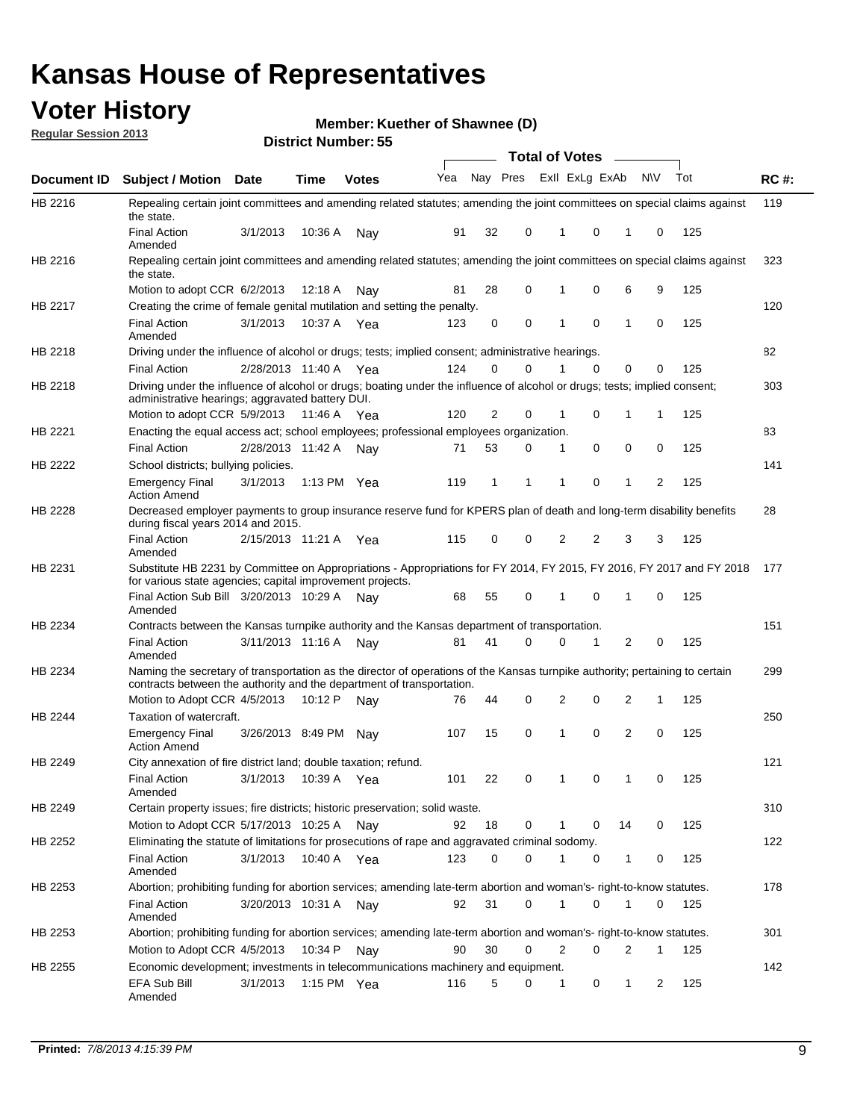## **Voter History**

**Member: Kuether of Shawnee (D)** 

**Regular Session 2013**

|                |                                                                                                                                                                                                       |                   |             | טט הסעוווטנו ועוווטכו |                             |              |          | <b>Total of Votes</b> |   | $\sim$         |              |     |             |
|----------------|-------------------------------------------------------------------------------------------------------------------------------------------------------------------------------------------------------|-------------------|-------------|-----------------------|-----------------------------|--------------|----------|-----------------------|---|----------------|--------------|-----|-------------|
| Document ID    | <b>Subject / Motion Date</b>                                                                                                                                                                          |                   | <b>Time</b> | <b>Votes</b>          | Yea Nay Pres ExII ExLg ExAb |              |          |                       |   |                | <b>NV</b>    | Tot | <b>RC#:</b> |
| HB 2216        | Repealing certain joint committees and amending related statutes; amending the joint committees on special claims against<br>the state.                                                               |                   |             |                       |                             |              |          |                       |   |                |              |     | 119         |
|                | <b>Final Action</b><br>Amended                                                                                                                                                                        | 3/1/2013          | 10:36 A     | Nay                   | 91                          | 32           | 0        | 1                     | 0 | 1              | 0            | 125 |             |
| HB 2216        | Repealing certain joint committees and amending related statutes; amending the joint committees on special claims against<br>the state.                                                               |                   |             |                       |                             |              |          |                       |   |                |              |     | 323         |
|                | Motion to adopt CCR 6/2/2013                                                                                                                                                                          |                   | 12:18 A     | Nav                   | 81                          | 28           | 0        |                       | 0 | 6              | 9            | 125 |             |
| HB 2217        | Creating the crime of female genital mutilation and setting the penalty.                                                                                                                              |                   |             |                       |                             |              |          |                       |   |                |              |     | 120         |
|                | <b>Final Action</b><br>Amended                                                                                                                                                                        | 3/1/2013          |             | 10:37 A Yea           | 123                         | 0            | 0        | 1                     | 0 | $\mathbf{1}$   | 0            | 125 |             |
| HB 2218        | Driving under the influence of alcohol or drugs; tests; implied consent; administrative hearings.                                                                                                     |                   |             |                       |                             |              |          |                       |   |                |              |     | 82          |
|                | <b>Final Action</b>                                                                                                                                                                                   | 2/28/2013 11:40 A |             | Yea                   | 124                         | 0            | 0        | 1                     | 0 | 0              | 0            | 125 |             |
| HB 2218        | Driving under the influence of alcohol or drugs; boating under the influence of alcohol or drugs; tests; implied consent;<br>administrative hearings; aggravated battery DUI.                         |                   |             |                       |                             |              |          |                       |   |                |              |     | 303         |
|                | Motion to adopt CCR 5/9/2013                                                                                                                                                                          |                   | 11:46 A     | Yea                   | 120                         | 2            | 0        | 1                     | 0 | 1              | 1            | 125 |             |
| HB 2221        | Enacting the equal access act; school employees; professional employees organization.                                                                                                                 |                   |             |                       |                             |              |          |                       |   |                |              |     | 83          |
|                | <b>Final Action</b>                                                                                                                                                                                   | 2/28/2013 11:42 A |             | Nav                   | 71                          | 53           | 0        | 1                     | 0 | 0              | 0            | 125 |             |
| HB 2222        | School districts; bullying policies.                                                                                                                                                                  |                   |             |                       |                             |              |          |                       |   |                |              |     | 141         |
|                | <b>Emergency Final</b><br><b>Action Amend</b>                                                                                                                                                         | 3/1/2013          |             | 1:13 PM $Yea$         | 119                         | $\mathbf{1}$ | 1        | 1                     | 0 | $\mathbf{1}$   | 2            | 125 |             |
| HB 2228        | Decreased employer payments to group insurance reserve fund for KPERS plan of death and long-term disability benefits<br>during fiscal years 2014 and 2015.                                           |                   |             |                       |                             |              |          |                       |   |                |              |     | 28          |
|                | <b>Final Action</b><br>Amended                                                                                                                                                                        | 2/15/2013 11:21 A |             | Yea                   | 115                         | 0            | 0        | 2                     | 2 | 3              | 3            | 125 |             |
| HB 2231        | Substitute HB 2231 by Committee on Appropriations - Appropriations for FY 2014, FY 2015, FY 2016, FY 2017 and FY 2018<br>for various state agencies; capital improvement projects.                    |                   |             |                       |                             |              |          |                       |   |                |              |     | 177         |
|                | Final Action Sub Bill 3/20/2013 10:29 A<br>Amended                                                                                                                                                    |                   |             | Nav                   | 68                          | 55           | 0        |                       | 0 | 1              | 0            | 125 |             |
| HB 2234        | Contracts between the Kansas turnpike authority and the Kansas department of transportation.                                                                                                          |                   |             |                       |                             |              |          |                       |   |                |              |     | 151         |
|                | <b>Final Action</b><br>Amended                                                                                                                                                                        | 3/11/2013 11:16 A |             | Nav                   | 81                          | 41           | $\Omega$ | 0                     | 1 | $\overline{2}$ | 0            | 125 |             |
| HB 2234        | Naming the secretary of transportation as the director of operations of the Kansas turnpike authority; pertaining to certain<br>contracts between the authority and the department of transportation. |                   |             |                       |                             |              |          |                       |   |                |              |     | 299         |
|                | Motion to Adopt CCR 4/5/2013                                                                                                                                                                          |                   | 10:12 P     | Nav                   | 76                          | 44           | 0        | 2                     | 0 | 2              | 1            | 125 |             |
| <b>HB 2244</b> | Taxation of watercraft.<br><b>Emergency Final</b>                                                                                                                                                     | 3/26/2013 8:49 PM |             | Nay                   | 107                         | 15           | 0        | 1                     | 0 | 2              | 0            | 125 | 250         |
|                | <b>Action Amend</b>                                                                                                                                                                                   |                   |             |                       |                             |              |          |                       |   |                |              |     |             |
| HB 2249        | City annexation of fire district land; double taxation; refund.                                                                                                                                       |                   |             |                       |                             |              |          |                       |   |                |              |     | 121         |
|                | Final Action 3/1/2013 10:39 A Yea<br>Amended                                                                                                                                                          |                   |             |                       | 101                         | 22           | 0        | $\mathbf{1}$          | 0 | $\mathbf{1}$   | 0            | 125 |             |
| HB 2249        | Certain property issues; fire districts; historic preservation; solid waste.                                                                                                                          |                   |             |                       |                             |              |          |                       |   |                |              |     | 310         |
|                | Motion to Adopt CCR 5/17/2013 10:25 A Nav                                                                                                                                                             |                   |             |                       | 92                          | 18           | 0        | 1                     | 0 | 14             | 0            | 125 |             |
| HB 2252        | Eliminating the statute of limitations for prosecutions of rape and aggravated criminal sodomy.                                                                                                       |                   |             |                       |                             |              |          |                       |   |                |              |     | 122         |
|                | <b>Final Action</b><br>Amended                                                                                                                                                                        | 3/1/2013          |             | 10:40 A Yea           | 123                         | 0            | 0        |                       | 0 | $\mathbf{1}$   | 0            | 125 |             |
| HB 2253        | Abortion; prohibiting funding for abortion services; amending late-term abortion and woman's- right-to-know statutes.                                                                                 |                   |             |                       |                             |              |          |                       |   |                |              |     | 178         |
|                | <b>Final Action</b><br>Amended                                                                                                                                                                        | 3/20/2013 10:31 A |             | Nay                   | 92                          | 31           | 0        | 1                     | 0 | 1              | 0            | 125 |             |
| HB 2253        | Abortion; prohibiting funding for abortion services; amending late-term abortion and woman's- right-to-know statutes.                                                                                 |                   |             |                       |                             |              |          |                       |   |                |              |     | 301         |
|                | Motion to Adopt CCR 4/5/2013                                                                                                                                                                          |                   | 10:34 P     | Nay                   | 90                          | 30           | 0        | 2                     | 0 | 2              | $\mathbf{1}$ | 125 |             |
| HB 2255        | Economic development; investments in telecommunications machinery and equipment.                                                                                                                      |                   |             |                       |                             |              |          |                       |   |                |              |     | 142         |
|                | EFA Sub Bill<br>Amended                                                                                                                                                                               | 3/1/2013          |             | 1:15 PM Yea           | 116                         | 5            | 0        | 1                     | 0 | 1              | 2            | 125 |             |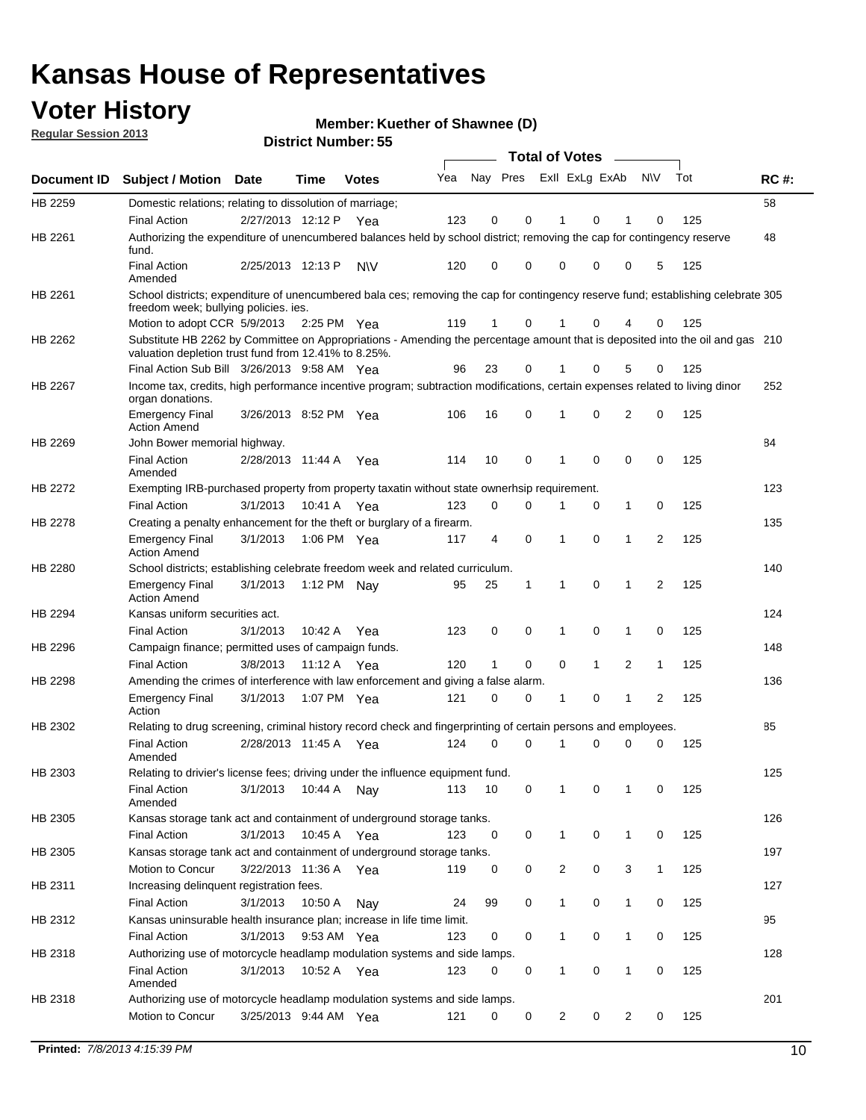## **Voter History**

**Member: Kuether of Shawnee (D)** 

**Regular Session 2013**

|             |                                                                                                                                                                                       |                       |             | טט וסווווטנו ויטווווטר |     |                         |             | <b>Total of Votes</b> |              | $\overline{\phantom{a}}$ |              |     |             |
|-------------|---------------------------------------------------------------------------------------------------------------------------------------------------------------------------------------|-----------------------|-------------|------------------------|-----|-------------------------|-------------|-----------------------|--------------|--------------------------|--------------|-----|-------------|
| Document ID | <b>Subject / Motion Date</b>                                                                                                                                                          |                       | <b>Time</b> | <b>Votes</b>           | Yea | Nay Pres Exll ExLg ExAb |             |                       |              |                          | <b>NV</b>    | Tot | <b>RC#:</b> |
| HB 2259     | Domestic relations; relating to dissolution of marriage;                                                                                                                              |                       |             |                        |     |                         |             |                       |              |                          |              |     | 58          |
|             | <b>Final Action</b>                                                                                                                                                                   | 2/27/2013 12:12 P     |             | Yea                    | 123 | 0                       | 0           | 1                     | 0            | 1                        | $\Omega$     | 125 |             |
| HB 2261     | Authorizing the expenditure of unencumbered balances held by school district; removing the cap for contingency reserve<br>fund.                                                       |                       |             |                        |     |                         |             |                       |              |                          |              |     | 48          |
|             | <b>Final Action</b><br>Amended                                                                                                                                                        | 2/25/2013 12:13 P     |             | <b>NV</b>              | 120 | 0                       | 0           | 0                     | 0            | 0                        | 5            | 125 |             |
| HB 2261     | School districts; expenditure of unencumbered bala ces; removing the cap for contingency reserve fund; establishing celebrate 305<br>freedom week; bullying policies. ies.            |                       |             |                        |     |                         |             |                       |              |                          |              |     |             |
|             | Motion to adopt CCR 5/9/2013                                                                                                                                                          |                       | 2:25 PM Yea |                        | 119 | 1                       | 0           |                       | 0            | 4                        | 0            | 125 |             |
| HB 2262     | Substitute HB 2262 by Committee on Appropriations - Amending the percentage amount that is deposited into the oil and gas 210<br>valuation depletion trust fund from 12.41% to 8.25%. |                       |             |                        |     |                         |             |                       |              |                          |              |     |             |
|             | Final Action Sub Bill 3/26/2013 9:58 AM Yea                                                                                                                                           |                       |             |                        | 96  | 23                      | 0           |                       | 0            | 5                        | 0            | 125 |             |
| HB 2267     | Income tax, credits, high performance incentive program; subtraction modifications, certain expenses related to living dinor<br>organ donations.                                      |                       |             |                        |     |                         |             |                       |              |                          |              |     | 252         |
|             | <b>Emergency Final</b><br><b>Action Amend</b>                                                                                                                                         | 3/26/2013 8:52 PM Yea |             |                        | 106 | 16                      | 0           | 1                     | 0            | 2                        | 0            | 125 |             |
| HB 2269     | John Bower memorial highway.                                                                                                                                                          |                       |             |                        |     |                         |             |                       |              |                          |              |     | 84          |
|             | <b>Final Action</b><br>Amended                                                                                                                                                        | 2/28/2013 11:44 A Yea |             |                        | 114 | 10                      | 0           | 1                     | 0            | 0                        | 0            | 125 |             |
| HB 2272     | Exempting IRB-purchased property from property taxatin without state ownerhsip requirement.                                                                                           |                       |             |                        |     |                         |             |                       |              |                          |              |     | 123         |
|             | <b>Final Action</b>                                                                                                                                                                   | 3/1/2013              | 10:41 A     | Yea                    | 123 | 0                       | 0           | 1                     | 0            | $\mathbf{1}$             | 0            | 125 |             |
| HB 2278     | Creating a penalty enhancement for the theft or burglary of a firearm.                                                                                                                |                       |             |                        |     |                         |             |                       |              |                          |              |     | 135         |
|             | <b>Emergency Final</b><br><b>Action Amend</b>                                                                                                                                         | 3/1/2013              | 1:06 PM Yea |                        | 117 | 4                       | $\mathbf 0$ | 1                     | 0            | 1                        | 2            | 125 |             |
| HB 2280     | School districts; establishing celebrate freedom week and related curriculum.                                                                                                         |                       |             |                        |     |                         |             |                       |              |                          |              |     | 140         |
|             | <b>Emergency Final</b><br><b>Action Amend</b>                                                                                                                                         | 3/1/2013              | 1:12 PM Nay |                        | 95  | 25                      | 1           | 1                     | 0            | 1                        | 2            | 125 |             |
| HB 2294     | Kansas uniform securities act.                                                                                                                                                        |                       |             |                        |     |                         |             |                       |              |                          |              |     | 124         |
|             | <b>Final Action</b>                                                                                                                                                                   | 3/1/2013              | 10:42 A     | Yea                    | 123 | 0                       | 0           | 1                     | 0            | $\mathbf{1}$             | 0            | 125 |             |
| HB 2296     | Campaign finance; permitted uses of campaign funds.                                                                                                                                   |                       |             |                        |     |                         |             |                       |              |                          |              |     | 148         |
|             | <b>Final Action</b>                                                                                                                                                                   | 3/8/2013              | 11:12 A Yea |                        | 120 | $\mathbf{1}$            | 0           | 0                     | $\mathbf{1}$ | 2                        | $\mathbf{1}$ | 125 |             |
| HB 2298     | Amending the crimes of interference with law enforcement and giving a false alarm.                                                                                                    |                       |             |                        |     |                         |             |                       |              |                          |              |     | 136         |
|             | <b>Emergency Final</b><br>Action                                                                                                                                                      | 3/1/2013              | 1:07 PM Yea |                        | 121 | 0                       | 0           | 1                     | 0            | 1                        | 2            | 125 |             |
| HB 2302     | Relating to drug screening, criminal history record check and fingerprinting of certain persons and employees.                                                                        |                       |             |                        |     |                         |             |                       |              |                          |              |     | 85          |
|             | <b>Final Action</b><br>Amended                                                                                                                                                        | 2/28/2013 11:45 A     |             | Yea                    | 124 | 0                       | $\Omega$    | 1                     | 0            | 0                        | $\mathbf 0$  | 125 |             |
| HB 2303     | Relating to drivier's license fees; driving under the influence equipment fund.                                                                                                       |                       |             |                        |     |                         |             |                       |              |                          |              |     | 125         |
|             | <b>Final Action</b><br>Amended                                                                                                                                                        | 3/1/2013              | 10:44 A     | Nay                    | 113 | 10                      | 0           | 1                     | 0            | 1                        | 0            | 125 |             |
| HB 2305     | Kansas storage tank act and containment of underground storage tanks.                                                                                                                 |                       |             |                        |     |                         |             |                       |              |                          |              |     | 126         |
|             | <b>Final Action</b>                                                                                                                                                                   | 3/1/2013              | 10:45 A     | Yea                    | 123 | 0                       | 0           | 1                     | 0            | 1                        | 0            | 125 |             |
| HB 2305     | Kansas storage tank act and containment of underground storage tanks.                                                                                                                 |                       |             |                        |     |                         |             |                       |              |                          |              |     | 197         |
|             | Motion to Concur                                                                                                                                                                      | 3/22/2013 11:36 A     |             | Yea                    | 119 | 0                       | 0           | 2                     | 0            | 3                        | $\mathbf{1}$ | 125 |             |
| HB 2311     | Increasing delinquent registration fees.                                                                                                                                              |                       |             |                        |     |                         |             |                       |              |                          |              |     | 127         |
|             | <b>Final Action</b>                                                                                                                                                                   | 3/1/2013              | 10:50 A     | Nay                    | 24  | 99                      | 0           | $\mathbf{1}$          | 0            | 1                        | 0            | 125 |             |
| HB 2312     | Kansas uninsurable health insurance plan; increase in life time limit.                                                                                                                |                       |             |                        |     |                         |             |                       |              |                          |              |     | 95          |
|             | <b>Final Action</b>                                                                                                                                                                   | 3/1/2013              | 9:53 AM Yea |                        | 123 | 0                       | 0           | 1                     | 0            | 1                        | 0            | 125 |             |
| HB 2318     | Authorizing use of motorcycle headlamp modulation systems and side lamps.                                                                                                             |                       |             |                        |     |                         |             |                       |              |                          |              |     | 128         |
|             | <b>Final Action</b><br>Amended                                                                                                                                                        | 3/1/2013              | 10:52 A     | Yea                    | 123 | 0                       | 0           | 1                     | 0            | 1                        | 0            | 125 |             |
| HB 2318     | Authorizing use of motorcycle headlamp modulation systems and side lamps.                                                                                                             |                       |             |                        |     |                         |             |                       |              |                          |              |     | 201         |
|             | Motion to Concur                                                                                                                                                                      | 3/25/2013 9:44 AM Yea |             |                        | 121 | 0                       | 0           | 2                     | 0            | 2                        | 0            | 125 |             |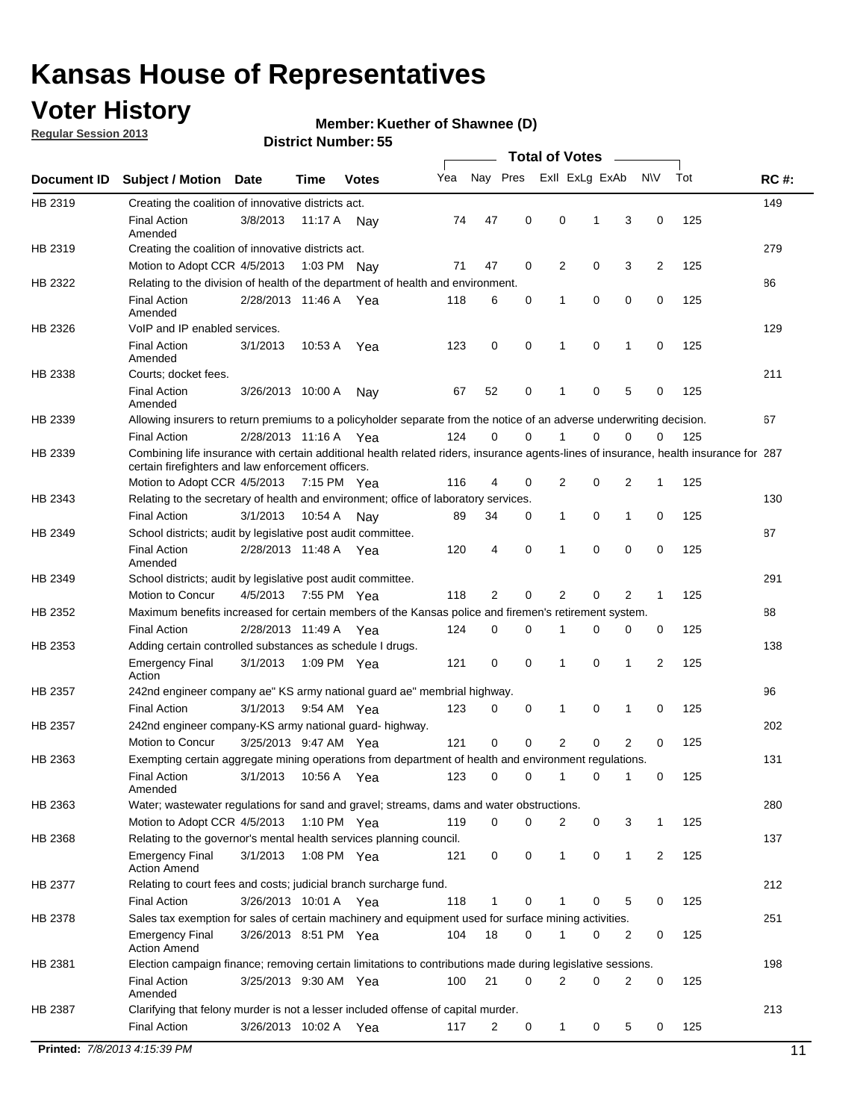## **Voter History**

**Regular Session 2013**

#### **Member: Kuether of Shawnee (D)**

|             |                                                                                                                                                                                             |                       |             |              |     |             |             | <b>Total of Votes</b> |   |                |           |     |             |
|-------------|---------------------------------------------------------------------------------------------------------------------------------------------------------------------------------------------|-----------------------|-------------|--------------|-----|-------------|-------------|-----------------------|---|----------------|-----------|-----|-------------|
| Document ID | <b>Subject / Motion</b>                                                                                                                                                                     | Date                  | Time        | <b>Votes</b> | Yea | Nay Pres    |             | Exll ExLg ExAb        |   |                | <b>NV</b> | Tot | <b>RC#:</b> |
| HB 2319     | Creating the coalition of innovative districts act.                                                                                                                                         |                       |             |              |     |             |             |                       |   |                |           |     | 149         |
|             | <b>Final Action</b><br>Amended                                                                                                                                                              | 3/8/2013              | 11:17 A     | Nav          | 74  | 47          | 0           | 0                     | 1 | 3              | 0         | 125 |             |
| HB 2319     | Creating the coalition of innovative districts act.                                                                                                                                         |                       |             |              |     |             |             |                       |   |                |           |     | 279         |
|             | Motion to Adopt CCR 4/5/2013                                                                                                                                                                |                       |             | 1:03 PM Nay  | 71  | 47          | 0           | 2                     | 0 | 3              | 2         | 125 |             |
| HB 2322     | Relating to the division of health of the department of health and environment.                                                                                                             |                       |             |              |     |             |             |                       |   |                |           |     | 86          |
|             | <b>Final Action</b><br>Amended                                                                                                                                                              | 2/28/2013 11:46 A Yea |             |              | 118 | 6           | 0           | 1                     | 0 | 0              | 0         | 125 |             |
| HB 2326     | VoIP and IP enabled services.                                                                                                                                                               |                       |             |              |     |             |             |                       |   |                |           |     | 129         |
|             | <b>Final Action</b><br>Amended                                                                                                                                                              | 3/1/2013              | 10:53 A     | Yea          | 123 | 0           | 0           | 1                     | 0 | 1              | 0         | 125 |             |
| HB 2338     | Courts; docket fees.                                                                                                                                                                        |                       |             |              |     |             |             |                       |   |                |           |     | 211         |
|             | <b>Final Action</b><br>Amended                                                                                                                                                              | 3/26/2013 10:00 A     |             | Nav          | 67  | 52          | 0           | 1                     | 0 | 5              | 0         | 125 |             |
| HB 2339     | Allowing insurers to return premiums to a policyholder separate from the notice of an adverse underwriting decision.                                                                        |                       |             |              |     |             |             |                       |   |                |           |     | 67          |
|             | <b>Final Action</b>                                                                                                                                                                         | 2/28/2013 11:16 A Yea |             |              | 124 | 0           | 0           |                       | 0 | 0              | 0         | 125 |             |
| HB 2339     | Combining life insurance with certain additional health related riders, insurance agents-lines of insurance, health insurance for 287<br>certain firefighters and law enforcement officers. |                       |             |              |     |             |             |                       |   |                |           |     |             |
|             | Motion to Adopt CCR 4/5/2013 7:15 PM Yea                                                                                                                                                    |                       |             |              | 116 | 4           | 0           | 2                     | 0 | 2              | -1        | 125 |             |
| HB 2343     | Relating to the secretary of health and environment; office of laboratory services.                                                                                                         |                       |             |              |     |             |             |                       |   |                |           |     | 130         |
|             | <b>Final Action</b>                                                                                                                                                                         | 3/1/2013              | 10:54 A     | Nav          | 89  | 34          | 0           | 1                     | 0 | 1              | 0         | 125 |             |
| HB 2349     | School districts; audit by legislative post audit committee.                                                                                                                                |                       |             |              |     |             |             |                       |   |                |           |     | 87          |
|             | <b>Final Action</b><br>Amended                                                                                                                                                              | 2/28/2013 11:48 A Yea |             |              | 120 | 4           | $\mathbf 0$ | 1                     | 0 | 0              | 0         | 125 |             |
| HB 2349     | School districts; audit by legislative post audit committee.                                                                                                                                |                       |             |              |     |             |             |                       |   |                |           |     | 291         |
|             | Motion to Concur                                                                                                                                                                            | 4/5/2013              | 7:55 PM Yea |              | 118 | 2           | $\mathbf 0$ | 2                     | 0 | 2              | 1         | 125 |             |
| HB 2352     | Maximum benefits increased for certain members of the Kansas police and firemen's retirement system.                                                                                        |                       |             |              |     |             |             |                       |   |                |           |     | 88          |
|             | <b>Final Action</b>                                                                                                                                                                         | 2/28/2013 11:49 A     |             | Yea          | 124 | 0           | 0           | 1                     | 0 | 0              | 0         | 125 |             |
| HB 2353     | Adding certain controlled substances as schedule I drugs.                                                                                                                                   |                       |             |              |     |             |             |                       |   |                |           |     | 138         |
|             | <b>Emergency Final</b><br>Action                                                                                                                                                            | 3/1/2013              |             | 1:09 PM Yea  | 121 | 0           | 0           | 1                     | 0 | 1              | 2         | 125 |             |
| HB 2357     | 242nd engineer company ae" KS army national guard ae" membrial highway.                                                                                                                     |                       |             |              |     |             |             |                       |   |                |           |     | 96          |
|             | <b>Final Action</b>                                                                                                                                                                         | 3/1/2013              | 9:54 AM Yea |              | 123 | 0           | 0           | 1                     | 0 | 1              | 0         | 125 |             |
| HB 2357     | 242nd engineer company-KS army national guard- highway.                                                                                                                                     |                       |             |              |     |             |             |                       |   |                |           |     | 202         |
|             | Motion to Concur                                                                                                                                                                            | 3/25/2013 9:47 AM Yea |             |              | 121 | $\mathbf 0$ | $\mathbf 0$ | $\overline{2}$        | 0 | $\overline{2}$ | 0         | 125 |             |
| HB 2363     | Exempting certain aggregate mining operations from department of health and environment regulations.                                                                                        |                       |             |              |     |             |             |                       |   |                |           |     | 131         |
|             | <b>Final Action</b><br>Amended                                                                                                                                                              | 3/1/2013              | 10:56 A     | Yea          | 123 | 0           | 0           | 1                     | 0 | 1              | 0         | 125 |             |
| HB 2363     | Water; wastewater regulations for sand and gravel; streams, dams and water obstructions.                                                                                                    |                       |             |              |     |             |             |                       |   |                |           |     | 280         |
|             | Motion to Adopt CCR 4/5/2013                                                                                                                                                                |                       |             | 1:10 PM Yea  | 119 | 0           | 0           | 2                     | 0 | 3              |           | 125 |             |
| HB 2368     | Relating to the governor's mental health services planning council.                                                                                                                         |                       |             |              |     |             |             |                       |   |                |           |     | 137         |
|             | Emergency Final<br><b>Action Amend</b>                                                                                                                                                      | 3/1/2013              |             | 1:08 PM Yea  | 121 | 0           | 0           | $\mathbf{1}$          | 0 | 1              | 2         | 125 |             |
| HB 2377     | Relating to court fees and costs; judicial branch surcharge fund.                                                                                                                           |                       |             |              |     |             |             |                       |   |                |           |     | 212         |
|             | <b>Final Action</b>                                                                                                                                                                         | 3/26/2013 10:01 A Yea |             |              | 118 | 1           | 0           |                       | 0 | 5              | 0         | 125 |             |
| HB 2378     | Sales tax exemption for sales of certain machinery and equipment used for surface mining activities.                                                                                        |                       |             |              |     |             |             |                       |   |                |           |     | 251         |
|             | <b>Emergency Final</b><br><b>Action Amend</b>                                                                                                                                               | 3/26/2013 8:51 PM Yea |             |              | 104 | 18          | 0           | 1                     | 0 | 2              | 0         | 125 |             |
| HB 2381     | Election campaign finance; removing certain limitations to contributions made during legislative sessions.                                                                                  |                       |             |              |     |             |             |                       |   |                |           |     | 198         |
|             | Final Action<br>Amended                                                                                                                                                                     | 3/25/2013 9:30 AM Yea |             |              | 100 | 21          | 0           | 2                     | 0 | 2              | 0         | 125 |             |
| HB 2387     | Clarifying that felony murder is not a lesser included offense of capital murder.                                                                                                           |                       |             |              |     |             |             |                       |   |                |           |     | 213         |
|             | <b>Final Action</b>                                                                                                                                                                         | 3/26/2013 10:02 A     |             | Yea          | 117 | 2           | 0           | $\mathbf{1}$          | 0 | 5              | 0         | 125 |             |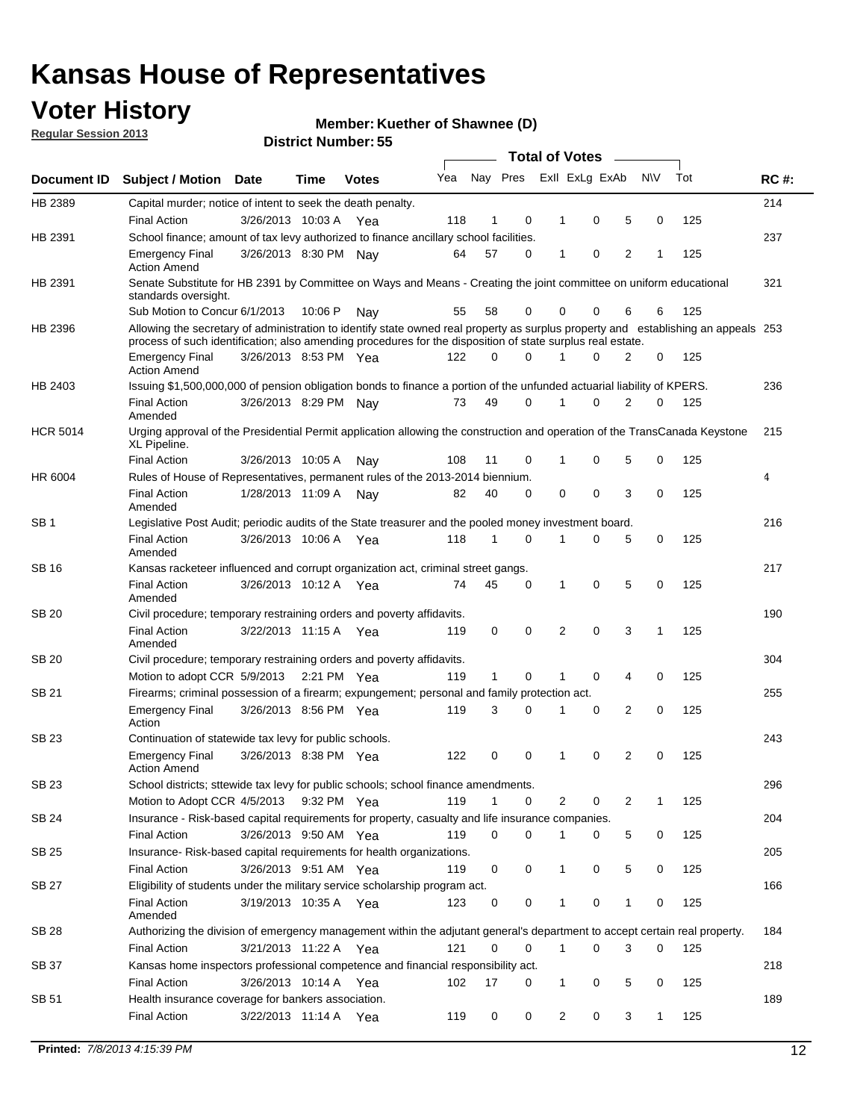## **Voter History**

**Member: Kuether of Shawnee (D)** 

**Regular Session 2013**

|                 |                                                                                                                                                                                                                                                  |                       |         |              |     |              |          | <b>Total of Votes</b> |   |   |              |     |             |
|-----------------|--------------------------------------------------------------------------------------------------------------------------------------------------------------------------------------------------------------------------------------------------|-----------------------|---------|--------------|-----|--------------|----------|-----------------------|---|---|--------------|-----|-------------|
| Document ID     | Subject / Motion Date                                                                                                                                                                                                                            |                       | Time    | <b>Votes</b> | Yea | Nay Pres     |          | Exll ExLg ExAb        |   |   | <b>NV</b>    | Tot | <b>RC#:</b> |
| HB 2389         | Capital murder; notice of intent to seek the death penalty.                                                                                                                                                                                      |                       |         |              |     |              |          |                       |   |   |              |     | 214         |
|                 | <b>Final Action</b>                                                                                                                                                                                                                              | 3/26/2013 10:03 A     |         | Yea          | 118 | 1            | 0        | 1                     | 0 | 5 | 0            | 125 |             |
| HB 2391         | School finance; amount of tax levy authorized to finance ancillary school facilities.                                                                                                                                                            |                       |         |              |     |              |          |                       |   |   |              |     | 237         |
|                 | <b>Emergency Final</b><br><b>Action Amend</b>                                                                                                                                                                                                    | 3/26/2013 8:30 PM Nav |         |              | 64  | 57           | 0        | 1                     | 0 | 2 | 1            | 125 |             |
| HB 2391         | Senate Substitute for HB 2391 by Committee on Ways and Means - Creating the joint committee on uniform educational<br>standards oversight.                                                                                                       |                       |         |              |     |              |          |                       |   |   |              |     | 321         |
|                 | Sub Motion to Concur 6/1/2013                                                                                                                                                                                                                    |                       | 10:06 P | Nav          | 55  | 58           | 0        | 0                     | 0 | 6 | 6            | 125 |             |
| HB 2396         | Allowing the secretary of administration to identify state owned real property as surplus property and establishing an appeals 253<br>process of such identification; also amending procedures for the disposition of state surplus real estate. |                       |         |              |     |              |          |                       |   |   |              |     |             |
|                 | <b>Emergency Final</b><br>Action Amend                                                                                                                                                                                                           | 3/26/2013 8:53 PM Yea |         |              | 122 | 0            | 0        |                       | 0 | 2 | 0            | 125 |             |
| HB 2403         | Issuing \$1,500,000,000 of pension obligation bonds to finance a portion of the unfunded actuarial liability of KPERS.                                                                                                                           |                       |         |              |     |              |          |                       |   |   |              |     | 236         |
|                 | <b>Final Action</b><br>Amended                                                                                                                                                                                                                   | 3/26/2013 8:29 PM Nay |         |              | 73  | 49           | 0        | 1                     | 0 | 2 | 0            | 125 |             |
| <b>HCR 5014</b> | Urging approval of the Presidential Permit application allowing the construction and operation of the TransCanada Keystone<br>XL Pipeline.                                                                                                       |                       |         |              |     |              |          |                       |   |   |              |     | 215         |
|                 | <b>Final Action</b>                                                                                                                                                                                                                              | 3/26/2013 10:05 A     |         | Nav          | 108 | 11           | 0        |                       | 0 | 5 | 0            | 125 |             |
| HR 6004         | Rules of House of Representatives, permanent rules of the 2013-2014 biennium.                                                                                                                                                                    |                       |         |              |     |              |          |                       |   |   |              |     | 4           |
|                 | <b>Final Action</b><br>Amended                                                                                                                                                                                                                   | 1/28/2013 11:09 A     |         | Nav          | 82  | 40           | 0        | 0                     | 0 | 3 | 0            | 125 |             |
| SB 1            | Legislative Post Audit; periodic audits of the State treasurer and the pooled money investment board.                                                                                                                                            |                       |         |              |     |              |          |                       |   |   |              |     | 216         |
|                 | <b>Final Action</b><br>Amended                                                                                                                                                                                                                   | 3/26/2013 10:06 A     |         | Yea          | 118 | 1            | 0        | 1                     | 0 | 5 | 0            | 125 |             |
| SB 16           | Kansas racketeer influenced and corrupt organization act, criminal street gangs.                                                                                                                                                                 |                       |         |              |     |              |          |                       |   |   |              |     | 217         |
|                 | <b>Final Action</b><br>Amended                                                                                                                                                                                                                   | 3/26/2013 10:12 A Yea |         |              | 74  | 45           | 0        | 1                     | 0 | 5 | 0            | 125 |             |
| SB 20           | Civil procedure; temporary restraining orders and poverty affidavits.                                                                                                                                                                            |                       |         |              |     |              |          |                       |   |   |              |     | 190         |
|                 | <b>Final Action</b><br>Amended                                                                                                                                                                                                                   | 3/22/2013 11:15 A     |         | Yea          | 119 | 0            | 0        | 2                     | 0 | 3 | $\mathbf{1}$ | 125 |             |
| SB 20           | Civil procedure; temporary restraining orders and poverty affidavits.                                                                                                                                                                            |                       |         |              |     |              |          |                       |   |   |              |     | 304         |
|                 | Motion to adopt CCR 5/9/2013                                                                                                                                                                                                                     |                       |         | 2:21 PM Yea  | 119 | $\mathbf{1}$ | 0        | 1                     | 0 | 4 | 0            | 125 |             |
| SB 21           | Firearms; criminal possession of a firearm; expungement; personal and family protection act.                                                                                                                                                     |                       |         |              |     |              |          |                       |   |   |              |     | 255         |
|                 | <b>Emergency Final</b><br>Action                                                                                                                                                                                                                 | 3/26/2013 8:56 PM Yea |         |              | 119 | 3            | 0        |                       | 0 | 2 | 0            | 125 |             |
| SB 23           | Continuation of statewide tax levy for public schools.                                                                                                                                                                                           |                       |         |              |     |              |          |                       |   |   |              |     | 243         |
|                 | <b>Emergency Final</b><br><b>Action Amend</b>                                                                                                                                                                                                    | 3/26/2013 8:38 PM Yea |         |              | 122 | 0            | 0        | 1                     | 0 | 2 | 0            | 125 |             |
| <b>SB 23</b>    | School districts; sttewide tax levy for public schools; school finance amendments                                                                                                                                                                |                       |         |              |     |              |          |                       |   |   |              |     | 296         |
|                 | Motion to Adopt CCR 4/5/2013 9:32 PM Yea                                                                                                                                                                                                         |                       |         |              | 119 | 1            | 0        | 2                     | 0 | 2 | 1            | 125 |             |
| <b>SB 24</b>    | Insurance - Risk-based capital requirements for property, casualty and life insurance companies.                                                                                                                                                 |                       |         |              |     |              |          |                       |   |   |              |     | 204         |
|                 | <b>Final Action</b>                                                                                                                                                                                                                              | 3/26/2013 9:50 AM Yea |         |              | 119 | 0            | 0        |                       | 0 | 5 | 0            | 125 |             |
| SB 25           | Insurance-Risk-based capital requirements for health organizations.                                                                                                                                                                              |                       |         |              |     |              |          |                       |   |   |              |     | 205         |
|                 | <b>Final Action</b>                                                                                                                                                                                                                              | 3/26/2013 9:51 AM Yea |         |              | 119 | 0            | 0        | 1                     | 0 | 5 | 0            | 125 |             |
| SB 27           | Eligibility of students under the military service scholarship program act.                                                                                                                                                                      |                       |         |              |     |              |          |                       |   |   |              |     | 166         |
|                 | <b>Final Action</b><br>Amended                                                                                                                                                                                                                   | 3/19/2013 10:35 A Yea |         |              | 123 | 0            | 0        |                       | 0 | 1 | 0            | 125 |             |
| SB 28           | Authorizing the division of emergency management within the adjutant general's department to accept certain real property.                                                                                                                       |                       |         |              |     |              |          |                       |   |   |              |     | 184         |
|                 | <b>Final Action</b>                                                                                                                                                                                                                              | 3/21/2013 11:22 A Yea |         |              | 121 | 0            | $\Omega$ | 1                     | 0 | 3 | $\Omega$     | 125 |             |
| SB 37           | Kansas home inspectors professional competence and financial responsibility act.                                                                                                                                                                 |                       |         |              |     |              |          |                       |   |   |              |     | 218         |
|                 | <b>Final Action</b>                                                                                                                                                                                                                              | 3/26/2013 10:14 A Yea |         |              | 102 | 17           | 0        | 1                     | 0 | 5 | 0            | 125 |             |
| SB 51           | Health insurance coverage for bankers association.                                                                                                                                                                                               |                       |         |              |     |              |          |                       |   |   |              |     | 189         |
|                 | <b>Final Action</b>                                                                                                                                                                                                                              | 3/22/2013 11:14 A Yea |         |              | 119 | 0            | 0        | 2                     | 0 | 3 | $\mathbf{1}$ | 125 |             |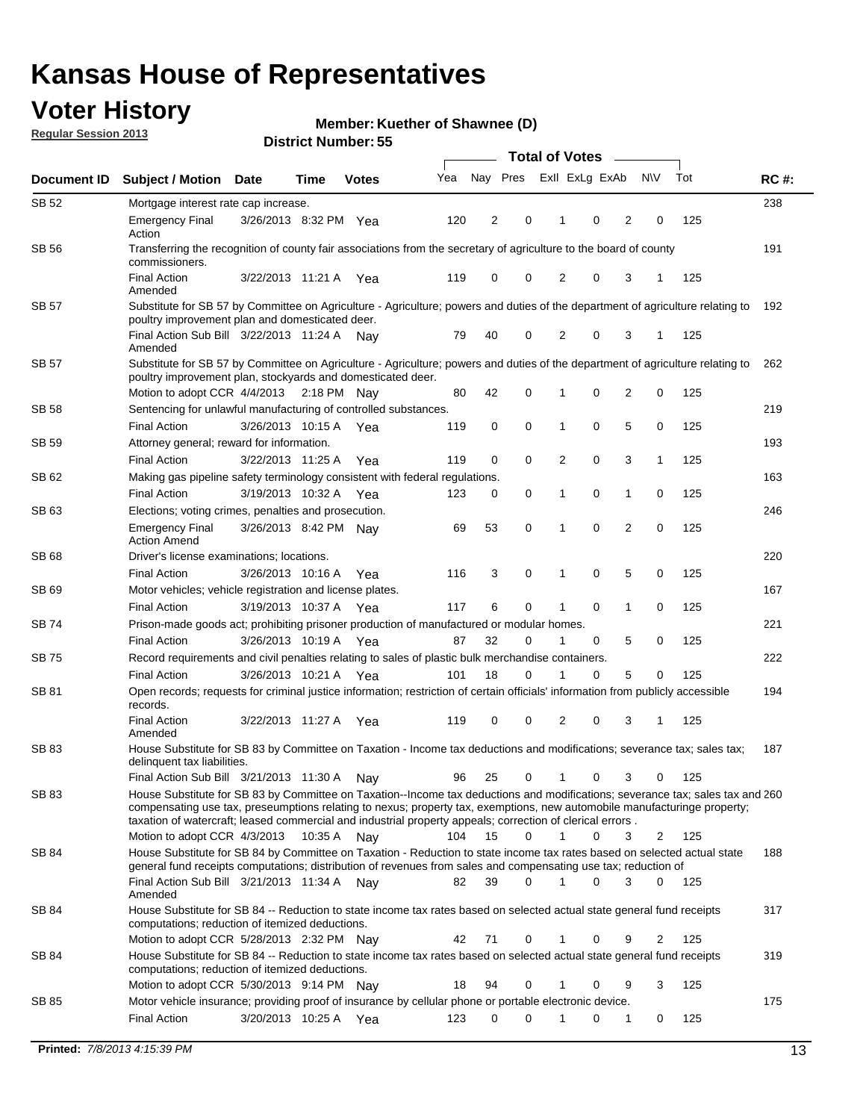## **Voter History**

**Member: Kuether of Shawnee (D)** 

**Regular Session 2013**

|              |                                                                                                                                                                                                                                                                                                                                                                                                         |                       |             |              |     | <b>Total of Votes</b> |             |                |   |                |             |     |             |  |
|--------------|---------------------------------------------------------------------------------------------------------------------------------------------------------------------------------------------------------------------------------------------------------------------------------------------------------------------------------------------------------------------------------------------------------|-----------------------|-------------|--------------|-----|-----------------------|-------------|----------------|---|----------------|-------------|-----|-------------|--|
| Document ID  | <b>Subject / Motion Date</b>                                                                                                                                                                                                                                                                                                                                                                            |                       | Time        | <b>Votes</b> | Yea | Nay Pres              |             | Exll ExLg ExAb |   |                | <b>NV</b>   | Tot | <b>RC#:</b> |  |
| SB 52        | Mortgage interest rate cap increase.                                                                                                                                                                                                                                                                                                                                                                    |                       |             |              |     |                       |             |                |   |                |             |     | 238         |  |
|              | <b>Emergency Final</b><br>Action                                                                                                                                                                                                                                                                                                                                                                        | 3/26/2013 8:32 PM Yea |             |              | 120 | 2                     | 0           |                | 0 | 2              | 0           | 125 |             |  |
| SB 56        | Transferring the recognition of county fair associations from the secretary of agriculture to the board of county<br>commissioners.                                                                                                                                                                                                                                                                     |                       |             |              |     |                       |             |                |   |                |             |     | 191         |  |
|              | <b>Final Action</b><br>Amended                                                                                                                                                                                                                                                                                                                                                                          | 3/22/2013 11:21 A     |             | Yea          | 119 | 0                     | 0           | 2              | 0 | 3              | 1           | 125 |             |  |
| SB 57        | Substitute for SB 57 by Committee on Agriculture - Agriculture; powers and duties of the department of agriculture relating to<br>poultry improvement plan and domesticated deer.                                                                                                                                                                                                                       |                       |             |              |     |                       |             |                |   |                |             |     | 192         |  |
|              | Final Action Sub Bill 3/22/2013 11:24 A<br>Amended                                                                                                                                                                                                                                                                                                                                                      |                       |             | Nav          | 79  | 40                    | 0           | 2              | 0 | 3              | 1           | 125 |             |  |
| SB 57        | Substitute for SB 57 by Committee on Agriculture - Agriculture; powers and duties of the department of agriculture relating to<br>poultry improvement plan, stockyards and domesticated deer.                                                                                                                                                                                                           |                       |             |              |     |                       |             | 1              |   | 2              |             |     | 262         |  |
| SB 58        | Motion to adopt CCR 4/4/2013 2:18 PM Nay<br>Sentencing for unlawful manufacturing of controlled substances.                                                                                                                                                                                                                                                                                             |                       |             |              | 80  | 42                    | 0           |                | 0 |                | 0           | 125 | 219         |  |
|              | <b>Final Action</b>                                                                                                                                                                                                                                                                                                                                                                                     | 3/26/2013 10:15 A     |             |              | 119 | 0                     | 0           | 1              | 0 | 5              | 0           | 125 |             |  |
| <b>SB 59</b> | Attorney general; reward for information.                                                                                                                                                                                                                                                                                                                                                               |                       |             | Yea          |     |                       |             |                |   |                |             |     | 193         |  |
|              |                                                                                                                                                                                                                                                                                                                                                                                                         |                       |             |              |     |                       | 0           |                | 0 |                |             |     |             |  |
|              | <b>Final Action</b>                                                                                                                                                                                                                                                                                                                                                                                     | 3/22/2013 11:25 A     |             | Yea          | 119 | 0                     |             | 2              |   | 3              | 1           | 125 |             |  |
| SB 62        | Making gas pipeline safety terminology consistent with federal regulations.                                                                                                                                                                                                                                                                                                                             |                       |             |              |     |                       |             |                |   |                |             |     | 163         |  |
|              | <b>Final Action</b>                                                                                                                                                                                                                                                                                                                                                                                     | 3/19/2013 10:32 A     |             | Yea          | 123 | 0                     | 0           | 1              | 0 | 1              | 0           | 125 |             |  |
| SB 63        | Elections; voting crimes, penalties and prosecution.<br><b>Emergency Final</b><br><b>Action Amend</b>                                                                                                                                                                                                                                                                                                   | 3/26/2013 8:42 PM Nay |             |              | 69  | 53                    | $\mathbf 0$ | 1              | 0 | $\overline{2}$ | $\mathbf 0$ | 125 | 246         |  |
| SB 68        | Driver's license examinations; locations.                                                                                                                                                                                                                                                                                                                                                               |                       |             |              |     |                       |             |                |   |                |             |     | 220         |  |
|              | <b>Final Action</b>                                                                                                                                                                                                                                                                                                                                                                                     | 3/26/2013 10:16 A     |             | Yea          | 116 | 3                     | 0           | 1              | 0 | 5              | 0           | 125 |             |  |
| SB 69        | Motor vehicles; vehicle registration and license plates.                                                                                                                                                                                                                                                                                                                                                |                       |             |              |     |                       |             |                |   |                |             |     | 167         |  |
|              | <b>Final Action</b>                                                                                                                                                                                                                                                                                                                                                                                     | 3/19/2013 10:37 A     |             | Yea          | 117 | 6                     | 0           | 1              | 0 | $\mathbf{1}$   | 0           | 125 |             |  |
| SB 74        | Prison-made goods act; prohibiting prisoner production of manufactured or modular homes.                                                                                                                                                                                                                                                                                                                |                       |             |              |     |                       |             |                |   |                |             |     | 221         |  |
|              | <b>Final Action</b>                                                                                                                                                                                                                                                                                                                                                                                     | 3/26/2013 10:19 A     |             | Yea          | 87  | 32                    | 0           | 1              | 0 | 5              | 0           | 125 |             |  |
| SB 75        | Record requirements and civil penalties relating to sales of plastic bulk merchandise containers.                                                                                                                                                                                                                                                                                                       |                       |             |              |     |                       |             |                |   |                |             |     | 222         |  |
|              | <b>Final Action</b>                                                                                                                                                                                                                                                                                                                                                                                     | 3/26/2013 10:21 A     |             | Yea          | 101 | 18                    | 0           | 1              | 0 | 5              | 0           | 125 |             |  |
| SB 81        | Open records; requests for criminal justice information; restriction of certain officials' information from publicly accessible<br>records.                                                                                                                                                                                                                                                             |                       |             |              |     |                       |             |                |   |                |             |     | 194         |  |
|              | <b>Final Action</b><br>Amended                                                                                                                                                                                                                                                                                                                                                                          | 3/22/2013 11:27 A     |             | Yea          | 119 | 0                     | 0           | 2              | 0 | 3              |             | 125 |             |  |
| <b>SB83</b>  | House Substitute for SB 83 by Committee on Taxation - Income tax deductions and modifications; severance tax; sales tax;<br>delinquent tax liabilities.                                                                                                                                                                                                                                                 |                       |             |              |     |                       |             |                |   |                |             |     | 187         |  |
|              | Final Action Sub Bill 3/21/2013 11:30 A                                                                                                                                                                                                                                                                                                                                                                 |                       |             | Nav          | 96  | 25                    | 0           | 1              | 0 | 3              | 0           | 125 |             |  |
| SB 83        | House Substitute for SB 83 by Committee on Taxation--Income tax deductions and modifications; severance tax; sales tax and 260<br>compensating use tax, preseumptions relating to nexus; property tax, exemptions, new automobile manufacturinge property;<br>taxation of watercraft; leased commercial and industrial property appeals; correction of clerical errors.<br>Motion to adopt CCR 4/3/2013 |                       | 10:35 A Nay |              | 104 | 15                    | 0           | $\mathbf{1}$   | 0 | 3              | 2           | 125 |             |  |
| SB 84        | House Substitute for SB 84 by Committee on Taxation - Reduction to state income tax rates based on selected actual state                                                                                                                                                                                                                                                                                |                       |             |              |     |                       |             |                |   |                |             |     | 188         |  |
|              | general fund receipts computations; distribution of revenues from sales and compensating use tax; reduction of<br>Final Action Sub Bill 3/21/2013 11:34 A Nay                                                                                                                                                                                                                                           |                       |             |              | 82  | 39                    | $\Omega$    |                | 0 | 3              | $\Omega$    | 125 |             |  |
| SB 84        | Amended<br>House Substitute for SB 84 -- Reduction to state income tax rates based on selected actual state general fund receipts                                                                                                                                                                                                                                                                       |                       |             |              |     |                       |             |                |   |                |             |     | 317         |  |
|              | computations; reduction of itemized deductions.<br>Motion to adopt CCR 5/28/2013 2:32 PM Nav                                                                                                                                                                                                                                                                                                            |                       |             |              | 42  | 71                    | 0           |                | 0 | 9              | 2           | 125 |             |  |
| SB 84        | House Substitute for SB 84 -- Reduction to state income tax rates based on selected actual state general fund receipts                                                                                                                                                                                                                                                                                  |                       |             |              |     |                       |             |                |   |                |             |     | 319         |  |
|              | computations; reduction of itemized deductions.<br>Motion to adopt CCR 5/30/2013 9:14 PM Nay                                                                                                                                                                                                                                                                                                            |                       |             |              | 18  | 94                    | 0           |                | 0 | 9              | 3           | 125 |             |  |
| SB 85        | Motor vehicle insurance; providing proof of insurance by cellular phone or portable electronic device.                                                                                                                                                                                                                                                                                                  |                       |             |              |     |                       |             |                |   |                |             |     | 175         |  |
|              | <b>Final Action</b>                                                                                                                                                                                                                                                                                                                                                                                     | 3/20/2013 10:25 A Yea |             |              | 123 | 0                     | $\Omega$    |                | 0 | 1              | 0           | 125 |             |  |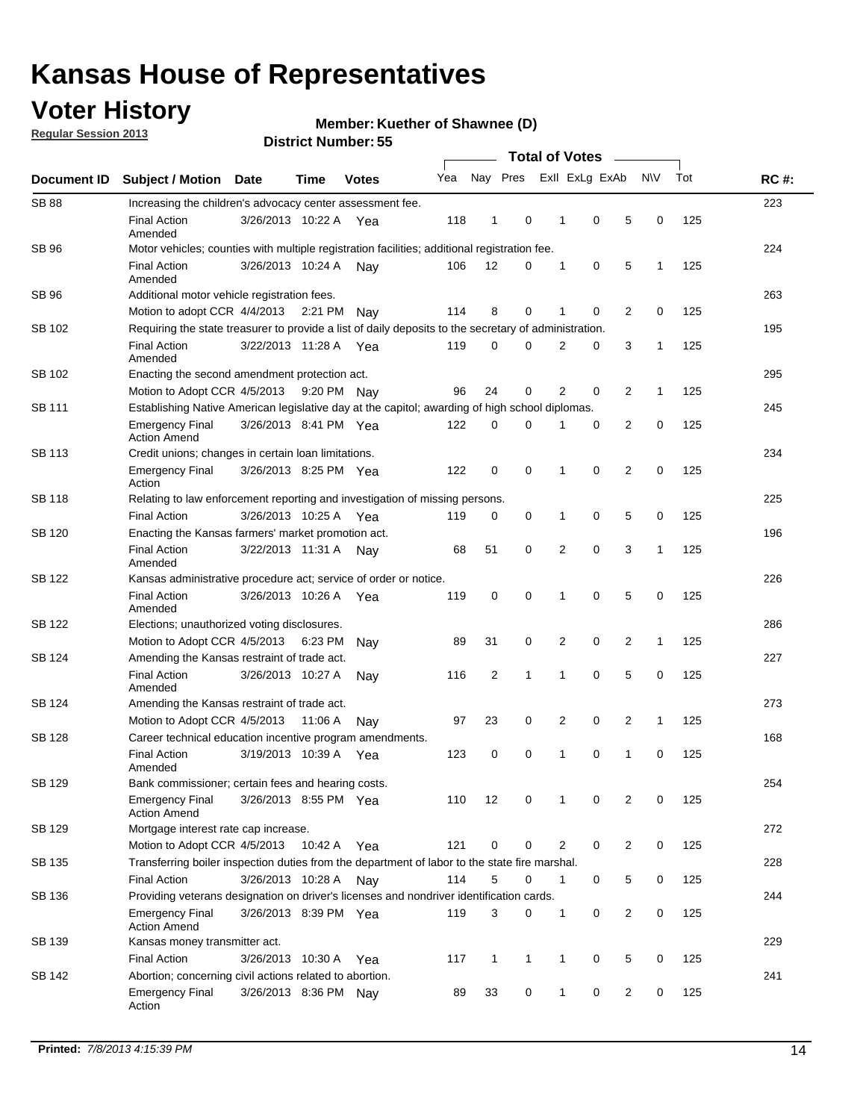## **Voter History**

**Regular Session 2013**

#### **Member: Kuether of Shawnee (D)**

| Document ID   | <b>Subject / Motion</b>                                                                               | Date                                                 | Time                                                               | <b>Votes</b> | Yea | Nay Pres     |   |              | Exll ExLg ExAb |                | <b>NV</b>    | Tot | <b>RC#:</b> |  |
|---------------|-------------------------------------------------------------------------------------------------------|------------------------------------------------------|--------------------------------------------------------------------|--------------|-----|--------------|---|--------------|----------------|----------------|--------------|-----|-------------|--|
| <b>SB 88</b>  | Increasing the children's advocacy center assessment fee.                                             |                                                      |                                                                    |              |     |              |   |              |                |                |              |     | 223         |  |
|               | <b>Final Action</b><br>Amended                                                                        | 3/26/2013 10:22 A                                    |                                                                    | Yea          | 118 | 1            | 0 | 1            | 0              | 5              | 0            | 125 |             |  |
| <b>SB 96</b>  | Motor vehicles; counties with multiple registration facilities; additional registration fee.          |                                                      |                                                                    |              |     |              |   |              |                |                |              |     | 224         |  |
|               | <b>Final Action</b><br>Amended                                                                        | 3/26/2013 10:24 A                                    |                                                                    | Nav          | 106 | 12           | 0 | 1            | 0              | 5              | 1            | 125 |             |  |
| <b>SB 96</b>  | Additional motor vehicle registration fees.                                                           |                                                      |                                                                    |              |     |              |   |              |                |                |              |     | 263         |  |
|               | Motion to adopt CCR 4/4/2013 2:21 PM                                                                  |                                                      |                                                                    | Nay          | 114 | 8            | 0 | 1            | 0              | $\overline{2}$ | 0            | 125 |             |  |
| SB 102        | Requiring the state treasurer to provide a list of daily deposits to the secretary of administration. |                                                      |                                                                    |              |     |              |   |              |                |                |              |     | 195         |  |
|               | <b>Final Action</b><br>Amended                                                                        | 3/22/2013 11:28 A Yea                                |                                                                    |              | 119 | 0            | 0 | 2            | 0              | 3              | $\mathbf{1}$ | 125 |             |  |
| SB 102        |                                                                                                       | 295<br>Enacting the second amendment protection act. |                                                                    |              |     |              |   |              |                |                |              |     |             |  |
|               | Motion to Adopt CCR 4/5/2013                                                                          |                                                      | 0<br>2<br>0<br>2<br>96<br>24<br>$\mathbf{1}$<br>125<br>9:20 PM Nay |              |     |              |   |              |                |                |              |     |             |  |
| SB 111        | Establishing Native American legislative day at the capitol; awarding of high school diplomas.        |                                                      |                                                                    |              |     |              |   |              |                |                |              |     |             |  |
|               | <b>Emergency Final</b><br><b>Action Amend</b>                                                         | 3/26/2013 8:41 PM Yea                                |                                                                    |              | 122 | 0            | 0 |              | 0              | 2              | 0            | 125 |             |  |
| <b>SB 113</b> | Credit unions; changes in certain loan limitations.                                                   |                                                      |                                                                    |              |     |              |   |              |                |                |              |     | 234         |  |
|               | <b>Emergency Final</b><br>Action                                                                      | 3/26/2013 8:25 PM Yea                                |                                                                    |              | 122 | 0            | 0 | 1            | 0              | $\overline{2}$ | 0            | 125 |             |  |
| <b>SB 118</b> | Relating to law enforcement reporting and investigation of missing persons.                           |                                                      |                                                                    |              |     |              |   |              |                |                |              |     | 225         |  |
|               | <b>Final Action</b>                                                                                   | 3/26/2013 10:25 A                                    |                                                                    | Yea          | 119 | 0            | 0 | 1            | 0              | 5              | 0            | 125 |             |  |
| SB 120        | Enacting the Kansas farmers' market promotion act.                                                    |                                                      |                                                                    |              |     |              |   |              |                |                |              |     | 196         |  |
|               | <b>Final Action</b><br>Amended                                                                        | 3/22/2013 11:31 A Nay                                |                                                                    |              | 68  | 51           | 0 | 2            | 0              | 3              | 1            | 125 |             |  |
| <b>SB 122</b> | Kansas administrative procedure act; service of order or notice.                                      |                                                      |                                                                    |              |     |              |   |              |                |                |              |     | 226         |  |
|               | <b>Final Action</b><br>Amended                                                                        | 3/26/2013 10:26 A                                    |                                                                    | Yea          | 119 | 0            | 0 | 1            | 0              | 5              | 0            | 125 |             |  |
| SB 122        | Elections; unauthorized voting disclosures.                                                           |                                                      |                                                                    |              |     |              |   |              |                |                |              |     |             |  |
|               | 0<br>2<br>0<br>2<br>Motion to Adopt CCR 4/5/2013<br>89<br>31<br>1<br>125<br>6:23 PM<br>Nav            |                                                      |                                                                    |              |     |              |   |              |                |                |              |     |             |  |
| SB 124        | Amending the Kansas restraint of trade act.                                                           |                                                      |                                                                    |              |     |              |   |              |                |                |              |     | 227         |  |
|               | <b>Final Action</b><br>Amended                                                                        | 3/26/2013 10:27 A                                    |                                                                    | Nav          | 116 | 2            | 1 | 1            | 0              | 5              | 0            | 125 |             |  |
| SB 124        | Amending the Kansas restraint of trade act.                                                           |                                                      |                                                                    |              |     |              |   |              |                |                |              |     | 273         |  |
|               | Motion to Adopt CCR 4/5/2013                                                                          |                                                      | 11:06 A                                                            | Nav          | 97  | 23           | 0 | 2            | 0              | 2              | 1            | 125 |             |  |
| <b>SB 128</b> | Career technical education incentive program amendments.                                              |                                                      |                                                                    |              |     |              |   |              |                |                |              |     | 168         |  |
|               | <b>Final Action</b><br>Amended                                                                        | 3/19/2013 10:39 A                                    |                                                                    | Yea          | 123 | 0            | 0 | 1            | 0              | 1              | 0            | 125 |             |  |
| SB 129        | Bank commissioner: certain fees and hearing costs.                                                    |                                                      |                                                                    |              |     |              |   |              |                |                |              |     | 254         |  |
|               | <b>Emergency Final</b><br><b>Action Amend</b>                                                         | 3/26/2013 8:55 PM Yea                                |                                                                    |              | 110 | 12           | 0 |              | 0              | 2              | 0            | 125 |             |  |
| <b>SB 129</b> | Mortgage interest rate cap increase.                                                                  |                                                      |                                                                    |              |     |              |   |              |                |                |              |     | 272         |  |
|               | Motion to Adopt CCR 4/5/2013 10:42 A                                                                  |                                                      |                                                                    | Yea          | 121 | 0            | 0 | 2            | 0              | 2              | 0            | 125 |             |  |
| SB 135        | Transferring boiler inspection duties from the department of labor to the state fire marshal.         |                                                      |                                                                    |              |     |              |   |              |                |                |              |     | 228         |  |
|               | <b>Final Action</b>                                                                                   | 3/26/2013 10:28 A Nay                                |                                                                    |              | 114 | 5            | 0 | 1            | 0              | 5              | 0            | 125 |             |  |
| SB 136        | Providing veterans designation on driver's licenses and nondriver identification cards.               |                                                      |                                                                    |              |     |              |   |              |                |                |              |     | 244         |  |
|               | <b>Emergency Final</b><br><b>Action Amend</b>                                                         | 3/26/2013 8:39 PM Yea                                |                                                                    |              | 119 | 3            | 0 | $\mathbf{1}$ | 0              | $\overline{2}$ | 0            | 125 |             |  |
| SB 139        | Kansas money transmitter act.                                                                         |                                                      |                                                                    |              |     |              |   |              |                |                |              |     | 229         |  |
|               | <b>Final Action</b>                                                                                   | 3/26/2013 10:30 A                                    |                                                                    | Yea          | 117 | $\mathbf{1}$ | 1 | 1            | 0              | 5              | 0            | 125 |             |  |
| SB 142        | Abortion; concerning civil actions related to abortion.                                               |                                                      |                                                                    |              |     |              |   |              |                |                |              |     | 241         |  |
|               | <b>Emergency Final</b><br>Action                                                                      | 3/26/2013 8:36 PM Nay                                |                                                                    |              | 89  | 33           | 0 | 1            | 0              | 2              | 0            | 125 |             |  |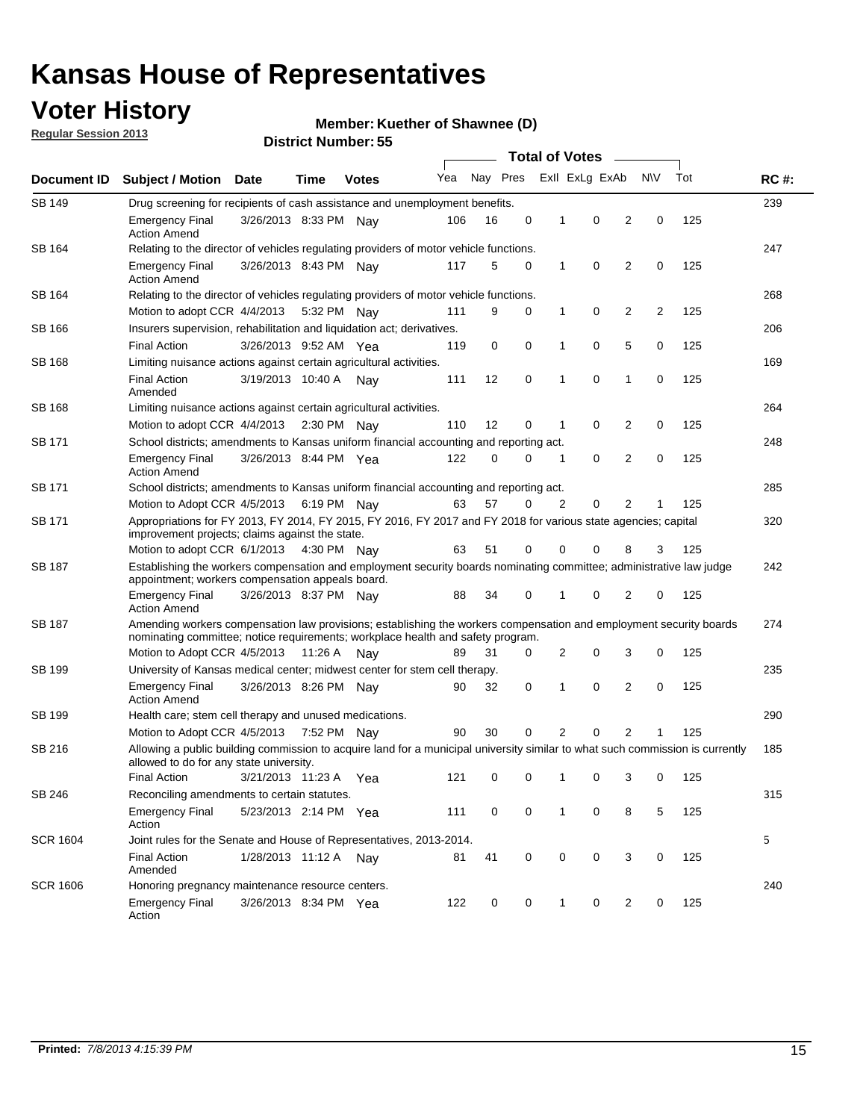## **Voter History**

**Member: Kuether of Shawnee (D)** 

**Regular Session 2013**

| Document ID     |                                                                                                                                                                                                       |                       |             |              |     |          |             | <b>Total of Votes</b> |                |                |           |     |             |
|-----------------|-------------------------------------------------------------------------------------------------------------------------------------------------------------------------------------------------------|-----------------------|-------------|--------------|-----|----------|-------------|-----------------------|----------------|----------------|-----------|-----|-------------|
|                 | <b>Subject / Motion</b>                                                                                                                                                                               | <b>Date</b>           | Time        | <b>Votes</b> | Yea | Nay Pres |             |                       | Exll ExLg ExAb |                | <b>NV</b> | Tot | <b>RC#:</b> |
| SB 149          | 239<br>Drug screening for recipients of cash assistance and unemployment benefits.                                                                                                                    |                       |             |              |     |          |             |                       |                |                |           |     |             |
|                 | <b>Emergency Final</b><br><b>Action Amend</b>                                                                                                                                                         | 3/26/2013 8:33 PM Nav |             |              | 106 | 16       | 0           | 1                     | 0              | 2              | 0         | 125 |             |
| SB 164          | Relating to the director of vehicles regulating providers of motor vehicle functions.                                                                                                                 |                       |             |              |     |          |             |                       |                |                |           |     | 247         |
|                 | <b>Emergency Final</b><br><b>Action Amend</b>                                                                                                                                                         | 3/26/2013 8:43 PM Nay |             |              | 117 | 5        | 0           | 1                     | 0              | 2              | 0         | 125 |             |
| SB 164          | Relating to the director of vehicles regulating providers of motor vehicle functions.                                                                                                                 |                       |             |              |     |          |             |                       |                |                |           |     | 268         |
|                 | Motion to adopt CCR 4/4/2013 5:32 PM Nay                                                                                                                                                              |                       |             |              | 111 | 9        | 0           | 1                     | 0              | 2              | 2         | 125 |             |
| SB 166          | Insurers supervision, rehabilitation and liquidation act; derivatives.                                                                                                                                |                       |             |              |     |          |             |                       |                |                |           |     | 206         |
|                 | <b>Final Action</b>                                                                                                                                                                                   | 3/26/2013 9:52 AM Yea |             |              | 119 | 0        | $\mathbf 0$ | 1                     | 0              | 5              | 0         | 125 |             |
| SB 168          | Limiting nuisance actions against certain agricultural activities.                                                                                                                                    |                       |             |              |     |          |             |                       |                |                |           |     | 169         |
|                 | Final Action<br>Amended                                                                                                                                                                               | 3/19/2013 10:40 A Nay |             |              | 111 | 12       | 0           | 1                     | 0              | 1              | 0         | 125 |             |
| SB 168          | Limiting nuisance actions against certain agricultural activities.                                                                                                                                    |                       |             |              |     |          |             |                       |                |                |           |     | 264         |
|                 | Motion to adopt CCR 4/4/2013                                                                                                                                                                          |                       | 2:30 PM Nay |              | 110 | 12       | 0           | 1                     | 0              | 2              | 0         | 125 |             |
| SB 171          | School districts; amendments to Kansas uniform financial accounting and reporting act.                                                                                                                |                       |             |              |     |          |             |                       |                |                |           |     | 248         |
|                 | <b>Emergency Final</b><br><b>Action Amend</b>                                                                                                                                                         | 3/26/2013 8:44 PM Yea |             |              | 122 | 0        | 0           | 1                     | 0              | $\overline{2}$ | 0         | 125 |             |
| SB 171          | School districts; amendments to Kansas uniform financial accounting and reporting act.                                                                                                                |                       |             |              |     |          |             |                       |                |                |           |     | 285         |
|                 | Motion to Adopt CCR 4/5/2013 6:19 PM Nay                                                                                                                                                              |                       |             |              | 63  | 57       | 0           | 2                     | 0              | 2              |           | 125 |             |
| SB 171          | Appropriations for FY 2013, FY 2014, FY 2015, FY 2016, FY 2017 and FY 2018 for various state agencies; capital<br>improvement projects; claims against the state.                                     |                       |             |              |     |          |             |                       |                |                |           |     | 320         |
|                 | Motion to adopt CCR 6/1/2013 4:30 PM Nay                                                                                                                                                              |                       |             |              | 63  | 51       | 0           | 0                     | 0              | 8              | 3         | 125 |             |
| SB 187          | Establishing the workers compensation and employment security boards nominating committee; administrative law judge<br>appointment; workers compensation appeals board.                               |                       |             |              |     |          |             |                       |                |                |           | 242 |             |
|                 | <b>Emergency Final</b><br><b>Action Amend</b>                                                                                                                                                         | 3/26/2013 8:37 PM Nav |             |              | 88  | 34       | 0           | 1                     | 0              | 2              | 0         | 125 |             |
| SB 187          | Amending workers compensation law provisions; establishing the workers compensation and employment security boards<br>nominating committee; notice requirements; workplace health and safety program. |                       |             |              |     |          |             |                       |                |                |           |     | 274         |
|                 | Motion to Adopt CCR 4/5/2013 11:26 A Nay                                                                                                                                                              |                       |             |              | 89  | 31       | 0           | 2                     | 0              | 3              | 0         | 125 |             |
| SB 199          | University of Kansas medical center; midwest center for stem cell therapy.                                                                                                                            |                       |             |              |     |          |             |                       |                |                |           |     | 235         |
|                 | <b>Emergency Final</b><br><b>Action Amend</b>                                                                                                                                                         | 3/26/2013 8:26 PM Nay |             |              | 90  | 32       | 0           | 1                     | 0              | 2              | 0         | 125 |             |
| SB 199          | Health care; stem cell therapy and unused medications.                                                                                                                                                |                       |             |              |     |          |             |                       |                |                |           |     | 290         |
|                 | Motion to Adopt CCR 4/5/2013                                                                                                                                                                          |                       | 7:52 PM Nay |              | 90  | 30       | 0           | 2                     | 0              | $\overline{2}$ |           | 125 |             |
| SB 216          | Allowing a public building commission to acquire land for a municipal university similar to what such commission is currently<br>allowed to do for any state university.                              |                       |             |              |     |          |             |                       |                |                |           |     | 185         |
|                 | <b>Final Action</b>                                                                                                                                                                                   | 3/21/2013 11:23 A     |             | Yea          | 121 | 0        | 0           | 1                     | 0              | 3              | 0         | 125 |             |
| SB 246          | Reconciling amendments to certain statutes.                                                                                                                                                           |                       |             |              |     |          |             |                       |                |                |           |     | 315         |
|                 | <b>Emergency Final</b><br>Action                                                                                                                                                                      | 5/23/2013 2:14 PM Yea |             |              | 111 | 0        | 0           | 1                     | 0              | 8              | 5         | 125 |             |
| <b>SCR 1604</b> | Joint rules for the Senate and House of Representatives, 2013-2014.                                                                                                                                   |                       |             |              |     |          |             |                       |                |                |           |     | 5           |
|                 | <b>Final Action</b><br>Amended                                                                                                                                                                        | 1/28/2013 11:12 A Nay |             |              | 81  | 41       | 0           | 0                     | 0              | 3              | 0         | 125 |             |
| <b>SCR 1606</b> | Honoring pregnancy maintenance resource centers.                                                                                                                                                      |                       |             |              |     |          |             |                       |                |                |           |     | 240         |
|                 | <b>Emergency Final</b><br>Action                                                                                                                                                                      | 3/26/2013 8:34 PM Yea |             |              | 122 | 0        | 0           | 1                     | 0              | 2              | 0         | 125 |             |